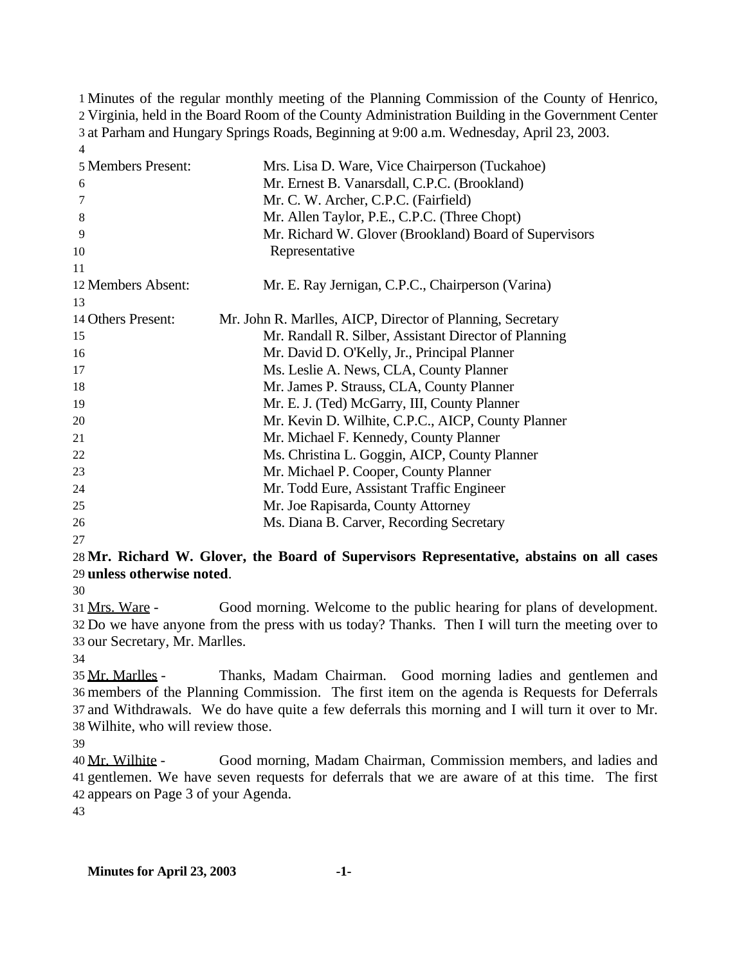Minutes of the regular monthly meeting of the Planning Commission of the County of Henrico, Virginia, held in the Board Room of the County Administration Building in the Government Center at Parham and Hungary Springs Roads, Beginning at 9:00 a.m. Wednesday, April 23, 2003. 

| Mrs. Lisa D. Ware, Vice Chairperson (Tuckahoe)<br>Mr. Ernest B. Vanarsdall, C.P.C. (Brookland) |
|------------------------------------------------------------------------------------------------|
| Mr. C. W. Archer, C.P.C. (Fairfield)                                                           |
| Mr. Allen Taylor, P.E., C.P.C. (Three Chopt)                                                   |
| Mr. Richard W. Glover (Brookland) Board of Supervisors                                         |
| Representative                                                                                 |
|                                                                                                |
| Mr. E. Ray Jernigan, C.P.C., Chairperson (Varina)                                              |
|                                                                                                |
| Mr. John R. Marlles, AICP, Director of Planning, Secretary                                     |
| Mr. Randall R. Silber, Assistant Director of Planning                                          |
| Mr. David D. O'Kelly, Jr., Principal Planner                                                   |
| Ms. Leslie A. News, CLA, County Planner                                                        |
| Mr. James P. Strauss, CLA, County Planner                                                      |
| Mr. E. J. (Ted) McGarry, III, County Planner                                                   |
| Mr. Kevin D. Wilhite, C.P.C., AICP, County Planner                                             |
| Mr. Michael F. Kennedy, County Planner                                                         |
| Ms. Christina L. Goggin, AICP, County Planner                                                  |
| Mr. Michael P. Cooper, County Planner                                                          |
| Mr. Todd Eure, Assistant Traffic Engineer                                                      |
| Mr. Joe Rapisarda, County Attorney                                                             |
| Ms. Diana B. Carver, Recording Secretary                                                       |
|                                                                                                |

## **Mr. Richard W. Glover, the Board of Supervisors Representative, abstains on all cases unless otherwise noted**.

 Mrs. Ware - Good morning. Welcome to the public hearing for plans of development. Do we have anyone from the press with us today? Thanks. Then I will turn the meeting over to our Secretary, Mr. Marlles.

 Mr. Marlles - Thanks, Madam Chairman. Good morning ladies and gentlemen and members of the Planning Commission. The first item on the agenda is Requests for Deferrals and Withdrawals. We do have quite a few deferrals this morning and I will turn it over to Mr. Wilhite, who will review those.

 Mr. Wilhite - Good morning, Madam Chairman, Commission members, and ladies and gentlemen. We have seven requests for deferrals that we are aware of at this time. The first appears on Page 3 of your Agenda.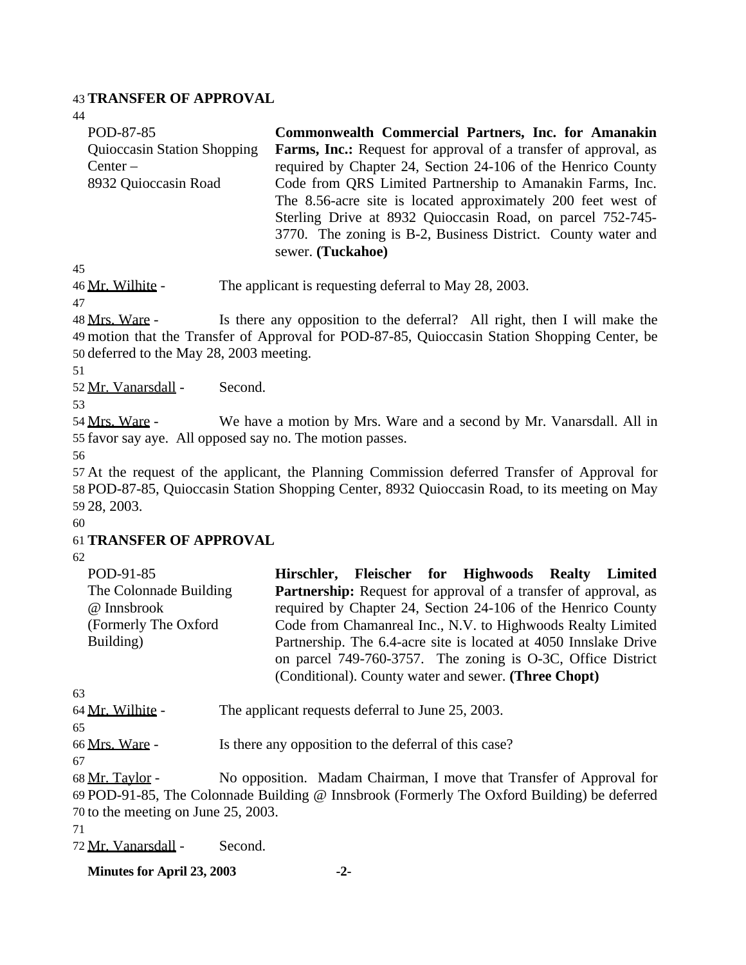#### 43 **TRANSFER OF APPROVAL**

44

| POD-87-85                          | Commonwealth Commercial Partners, Inc. for Amanakin                    |
|------------------------------------|------------------------------------------------------------------------|
| <b>Quioccasin Station Shopping</b> | <b>Farms, Inc.:</b> Request for approval of a transfer of approval, as |
| $Center -$                         | required by Chapter 24, Section 24-106 of the Henrico County           |
| 8932 Quioccasin Road               | Code from QRS Limited Partnership to Amanakin Farms, Inc.              |
|                                    | The 8.56-acre site is located approximately 200 feet west of           |
|                                    | Sterling Drive at 8932 Quioccasin Road, on parcel 752-745-             |
|                                    | 3770. The zoning is B-2, Business District. County water and           |
|                                    | sewer. (Tuckahoe)                                                      |

45

46 Mr. Wilhite - The applicant is requesting deferral to May 28, 2003.

47

48 Mrs. Ware - Is there any opposition to the deferral? All right, then I will make the 49 motion that the Transfer of Approval for POD-87-85, Quioccasin Station Shopping Center, be 50 deferred to the May 28, 2003 meeting.

51

52 Mr. Vanarsdall - Second.

53

54 Mrs. Ware - We have a motion by Mrs. Ware and a second by Mr. Vanarsdall. All in 55 favor say aye. All opposed say no. The motion passes.

56

 At the request of the applicant, the Planning Commission deferred Transfer of Approval for POD-87-85, Quioccasin Station Shopping Center, 8932 Quioccasin Road, to its meeting on May 28, 2003. 60

### 61 **TRANSFER OF APPROVAL**

62

| POD-91-85              |  | Hirschler, Fleischer for Highwoods Realty Limited                      |  |
|------------------------|--|------------------------------------------------------------------------|--|
| The Colonnade Building |  | <b>Partnership:</b> Request for approval of a transfer of approval, as |  |
| @ Innsbrook            |  | required by Chapter 24, Section 24-106 of the Henrico County           |  |
| (Formerly The Oxford)  |  | Code from Chamanreal Inc., N.V. to Highwoods Realty Limited            |  |
| Building)              |  | Partnership. The 6.4-acre site is located at 4050 Innslake Drive       |  |
|                        |  | on parcel 749-760-3757. The zoning is O-3C, Office District            |  |
|                        |  | (Conditional). County water and sewer. (Three Chopt)                   |  |

63

64 Mr. Wilhite - The applicant requests deferral to June 25, 2003.

65

66 Mrs. Ware - Is there any opposition to the deferral of this case?

67

68 Mr. Taylor - No opposition. Madam Chairman, I move that Transfer of Approval for 69 POD-91-85, The Colonnade Building @ Innsbrook (Formerly The Oxford Building) be deferred 70 to the meeting on June 25, 2003.

71

72 Mr. Vanarsdall - Second.

**Minutes for April 23, 2003 -2-**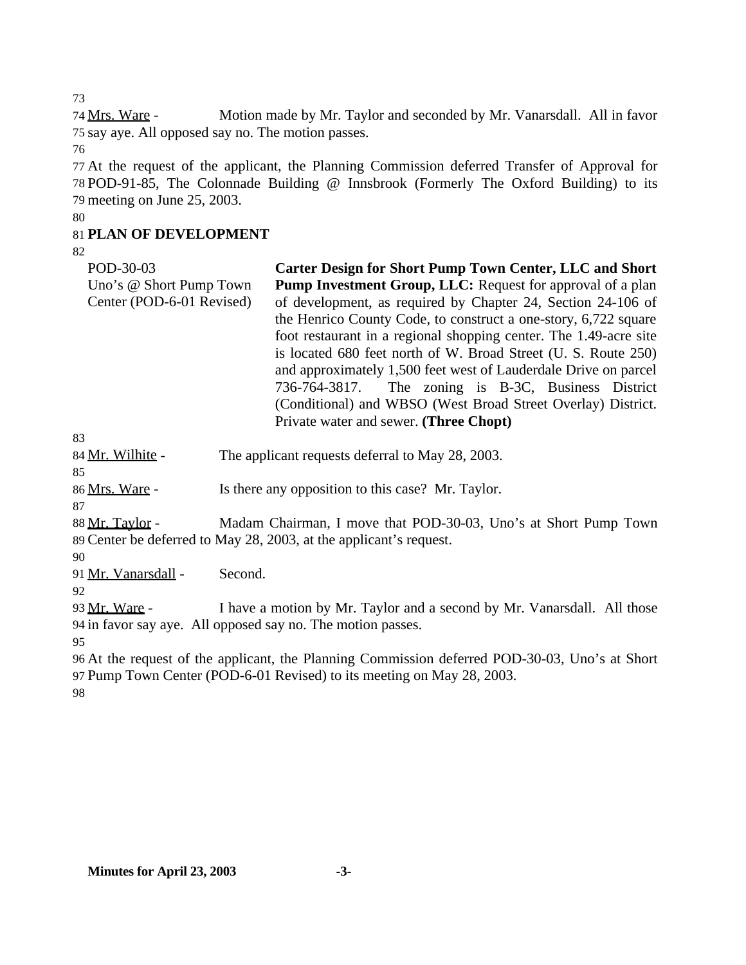73

74 Mrs. Ware - Motion made by Mr. Taylor and seconded by Mr. Vanarsdall. All in favor 75 say aye. All opposed say no. The motion passes.

76

77 At the request of the applicant, the Planning Commission deferred Transfer of Approval for 78 POD-91-85, The Colonnade Building @ Innsbrook (Formerly The Oxford Building) to its 79 meeting on June 25, 2003.

#### 80

## 81 **PLAN OF DEVELOPMENT**

82

| POD-30-03                 | Carter Design for Short Pump Town Center, LLC and Short           |
|---------------------------|-------------------------------------------------------------------|
| Uno's @ Short Pump Town   | <b>Pump Investment Group, LLC:</b> Request for approval of a plan |
| Center (POD-6-01 Revised) | of development, as required by Chapter 24, Section 24-106 of      |
|                           | the Henrico County Code, to construct a one-story, 6,722 square   |
|                           | foot restaurant in a regional shopping center. The 1.49-acre site |
|                           | is located 680 feet north of W. Broad Street (U. S. Route 250)    |
|                           | and approximately 1,500 feet west of Lauderdale Drive on parcel   |
|                           | 736-764-3817. The zoning is B-3C, Business District               |
|                           | (Conditional) and WBSO (West Broad Street Overlay) District.      |
|                           | Private water and sewer. (Three Chopt)                            |
| 83                        |                                                                   |

|  | 84 Mr. Wilhite - |  |
|--|------------------|--|

|    | $0 + 1$ $11$ . $11$ $11$ |  |  |
|----|--------------------------|--|--|
| 85 |                          |  |  |

86 Mrs. Ware - Is there any opposition to this case? Mr. Taylor.

87

88 Mr. Taylor - Madam Chairman, I move that POD-30-03, Uno's at Short Pump Town 89 Center be deferred to May 28, 2003, at the applicant's request.

The applicant requests deferral to May 28, 2003.

90

91 Mr. Vanarsdall - Second.

92

93 Mr. Ware - I have a motion by Mr. Taylor and a second by Mr. Vanarsdall. All those 94 in favor say aye. All opposed say no. The motion passes.

95

96 At the request of the applicant, the Planning Commission deferred POD-30-03, Uno's at Short 97 Pump Town Center (POD-6-01 Revised) to its meeting on May 28, 2003.

98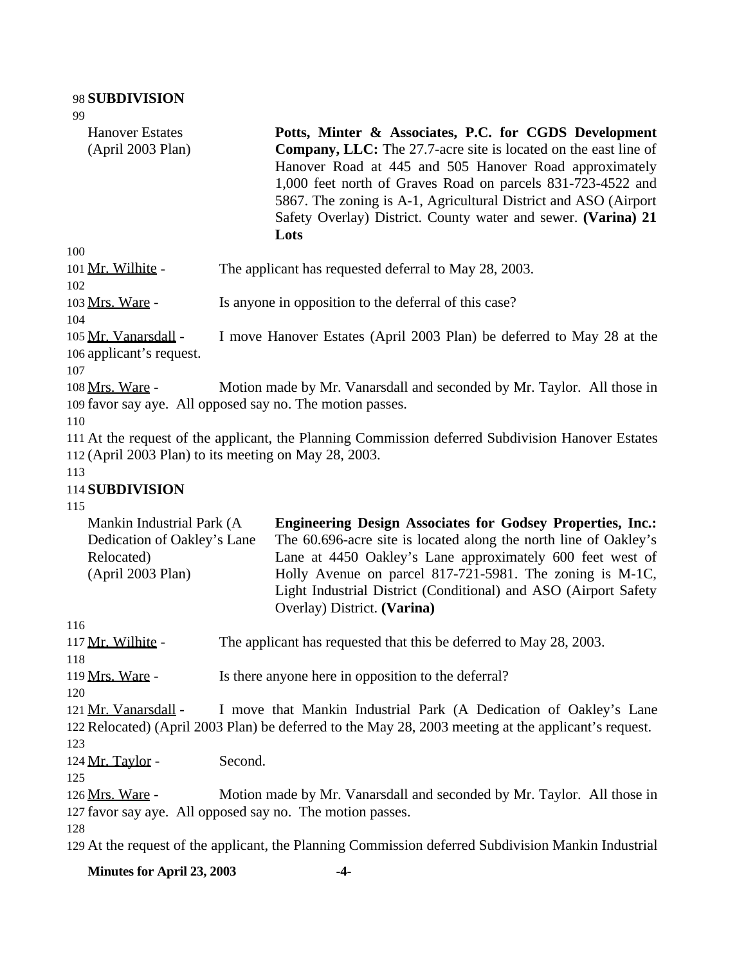| 99                                                                                          |                                                                                                                                                                                                                                                                                                                                                                                                      |
|---------------------------------------------------------------------------------------------|------------------------------------------------------------------------------------------------------------------------------------------------------------------------------------------------------------------------------------------------------------------------------------------------------------------------------------------------------------------------------------------------------|
| <b>Hanover Estates</b><br>(April 2003 Plan)                                                 | Potts, Minter & Associates, P.C. for CGDS Development<br><b>Company, LLC:</b> The 27.7-acre site is located on the east line of<br>Hanover Road at 445 and 505 Hanover Road approximately<br>1,000 feet north of Graves Road on parcels 831-723-4522 and<br>5867. The zoning is A-1, Agricultural District and ASO (Airport<br>Safety Overlay) District. County water and sewer. (Varina) 21<br>Lots |
| 100<br>101 Mr. Wilhite -                                                                    | The applicant has requested deferral to May 28, 2003.                                                                                                                                                                                                                                                                                                                                                |
| 102<br>103 Mrs. Ware -<br>104                                                               | Is anyone in opposition to the deferral of this case?                                                                                                                                                                                                                                                                                                                                                |
| 105 Mr. Vanarsdall -<br>106 applicant's request.<br>107                                     | I move Hanover Estates (April 2003 Plan) be deferred to May 28 at the                                                                                                                                                                                                                                                                                                                                |
| 108 Mrs. Ware -<br>110                                                                      | Motion made by Mr. Vanarsdall and seconded by Mr. Taylor. All those in<br>109 favor say aye. All opposed say no. The motion passes.                                                                                                                                                                                                                                                                  |
|                                                                                             | 111 At the request of the applicant, the Planning Commission deferred Subdivision Hanover Estates<br>112 (April 2003 Plan) to its meeting on May 28, 2003.                                                                                                                                                                                                                                           |
| 113<br>114 SUBDIVISION<br>115                                                               |                                                                                                                                                                                                                                                                                                                                                                                                      |
| Mankin Industrial Park (A<br>Dedication of Oakley's Lane<br>Relocated)<br>(April 2003 Plan) | <b>Engineering Design Associates for Godsey Properties, Inc.:</b><br>The 60.696-acre site is located along the north line of Oakley's<br>Lane at 4450 Oakley's Lane approximately 600 feet west of<br>Holly Avenue on parcel 817-721-5981. The zoning is M-1C,<br>Light Industrial District (Conditional) and ASO (Airport Safety<br>Overlay) District. (Varina)                                     |
| 116                                                                                         |                                                                                                                                                                                                                                                                                                                                                                                                      |
| 117 Mr. Wilhite -<br>118                                                                    | The applicant has requested that this be deferred to May 28, 2003.                                                                                                                                                                                                                                                                                                                                   |
| 119 Mrs. Ware -<br>120                                                                      | Is there anyone here in opposition to the deferral?                                                                                                                                                                                                                                                                                                                                                  |
| 121 Mr. Vanarsdall -<br>123                                                                 | I move that Mankin Industrial Park (A Dedication of Oakley's Lane<br>122 Relocated) (April 2003 Plan) be deferred to the May 28, 2003 meeting at the applicant's request.                                                                                                                                                                                                                            |
| 124 Mr. Taylor -<br>125                                                                     | Second.                                                                                                                                                                                                                                                                                                                                                                                              |
| 126 Mrs. Ware -<br>128                                                                      | Motion made by Mr. Vanarsdall and seconded by Mr. Taylor. All those in<br>127 favor say aye. All opposed say no. The motion passes.                                                                                                                                                                                                                                                                  |
|                                                                                             | 129 At the request of the applicant, the Planning Commission deferred Subdivision Mankin Industrial                                                                                                                                                                                                                                                                                                  |
| Minutes for April 23, 2003                                                                  | -4-                                                                                                                                                                                                                                                                                                                                                                                                  |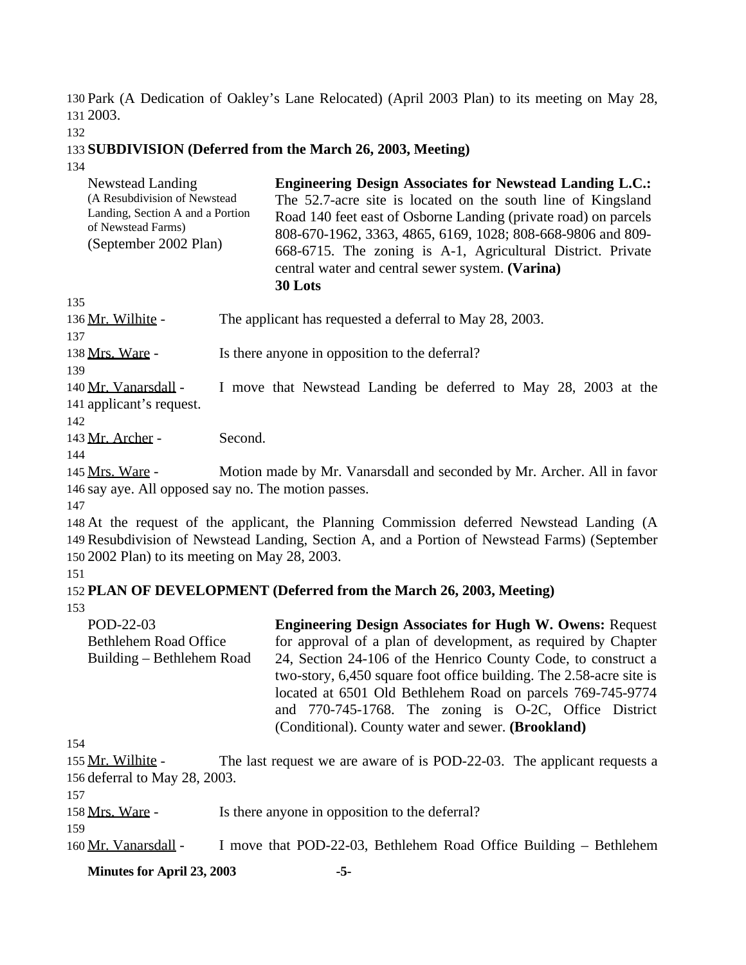130 Park (A Dedication of Oakley's Lane Relocated) (April 2003 Plan) to its meeting on May 28, 131 2003.

132

### 133 **SUBDIVISION (Deferred from the March 26, 2003, Meeting)**

134

| Newstead Landing<br>(A Resubdivision of Newstead<br>Landing, Section A and a Portion<br>of Newstead Farms)<br>(September 2002 Plan) | <b>Engineering Design Associates for Newstead Landing L.C.:</b><br>The 52.7-acre site is located on the south line of Kingsland<br>Road 140 feet east of Osborne Landing (private road) on parcels<br>808-670-1962, 3363, 4865, 6169, 1028; 808-668-9806 and 809-<br>668-6715. The zoning is A-1, Agricultural District. Private<br>central water and central sewer system. (Varina)<br>30 Lots |
|-------------------------------------------------------------------------------------------------------------------------------------|-------------------------------------------------------------------------------------------------------------------------------------------------------------------------------------------------------------------------------------------------------------------------------------------------------------------------------------------------------------------------------------------------|
|-------------------------------------------------------------------------------------------------------------------------------------|-------------------------------------------------------------------------------------------------------------------------------------------------------------------------------------------------------------------------------------------------------------------------------------------------------------------------------------------------------------------------------------------------|

135

136 Mr. Wilhite - The applicant has requested a deferral to May 28, 2003. 137

138 Mrs. Ware - Is there anyone in opposition to the deferral?

139

140 Mr. Vanarsdall - I move that Newstead Landing be deferred to May 28, 2003 at the 141 applicant's request.

142

143 Mr. Archer - Second.

144

145 Mrs. Ware - Motion made by Mr. Vanarsdall and seconded by Mr. Archer. All in favor 146 say aye. All opposed say no. The motion passes.

147

148 At the request of the applicant, the Planning Commission deferred Newstead Landing (A 149 Resubdivision of Newstead Landing, Section A, and a Portion of Newstead Farms) (September 150 2002 Plan) to its meeting on May 28, 2003.

#### 151

#### 152 **PLAN OF DEVELOPMENT (Deferred from the March 26, 2003, Meeting)**  153

POD-22-03 Bethlehem Road Office Building – Bethlehem Road **Engineering Design Associates for Hugh W. Owens:** Request for approval of a plan of development, as required by Chapter 24, Section 24-106 of the Henrico County Code, to construct a two-story, 6,450 square foot office building. The 2.58-acre site is located at 6501 Old Bethlehem Road on parcels 769-745-9774 and 770-745-1768. The zoning is O-2C, Office District (Conditional). County water and sewer. **(Brookland)**

154

155 Mr. Wilhite - The last request we are aware of is POD-22-03. The applicant requests a 156 deferral to May 28, 2003.

157

158 Mrs. Ware - Is there anyone in opposition to the deferral?

159

160 Mr. Vanarsdall - I move that POD-22-03, Bethlehem Road Office Building – Bethlehem

**Minutes for April 23, 2003 -5-**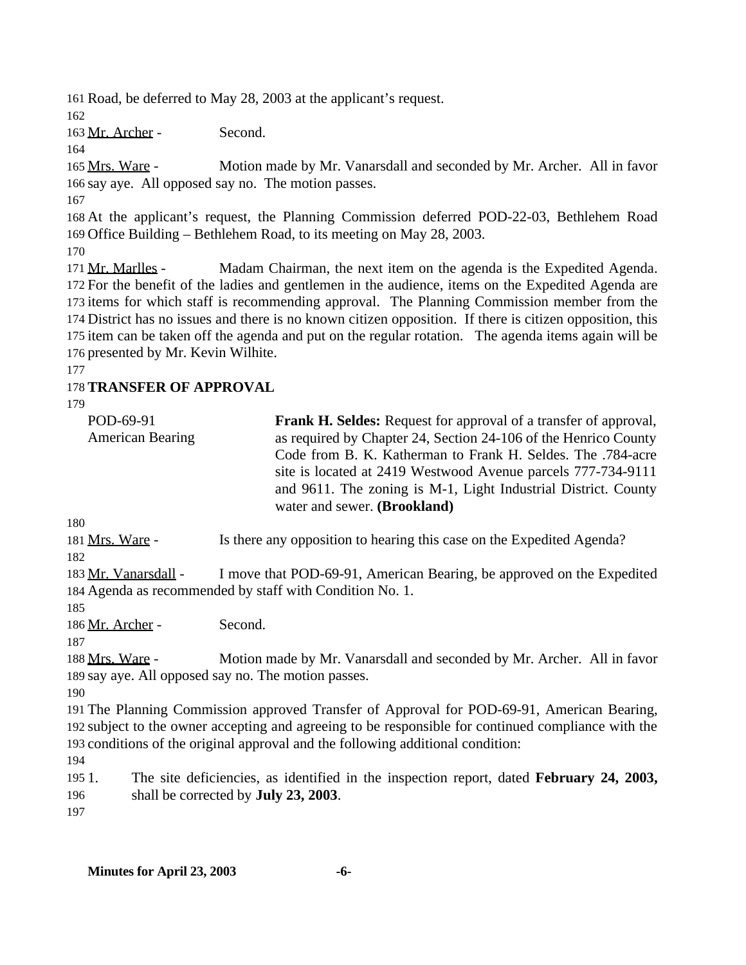Road, be deferred to May 28, 2003 at the applicant's request.

Mr. Archer - Second.

 Mrs. Ware - Motion made by Mr. Vanarsdall and seconded by Mr. Archer. All in favor say aye. All opposed say no. The motion passes.

 At the applicant's request, the Planning Commission deferred POD-22-03, Bethlehem Road Office Building – Bethlehem Road, to its meeting on May 28, 2003.

 Mr. Marlles - Madam Chairman, the next item on the agenda is the Expedited Agenda. For the benefit of the ladies and gentlemen in the audience, items on the Expedited Agenda are items for which staff is recommending approval. The Planning Commission member from the District has no issues and there is no known citizen opposition. If there is citizen opposition, this item can be taken off the agenda and put on the regular rotation. The agenda items again will be presented by Mr. Kevin Wilhite.

# **TRANSFER OF APPROVAL**

| POD-69-91<br><b>American Bearing</b> | <b>Frank H. Seldes:</b> Request for approval of a transfer of approval,<br>as required by Chapter 24, Section 24-106 of the Henrico County<br>Code from B. K. Katherman to Frank H. Seldes. The .784-acre<br>site is located at 2419 Westwood Avenue parcels 777-734-9111<br>and 9611. The zoning is M-1, Light Industrial District. County<br>water and sewer. (Brookland) |
|--------------------------------------|-----------------------------------------------------------------------------------------------------------------------------------------------------------------------------------------------------------------------------------------------------------------------------------------------------------------------------------------------------------------------------|
| 180                                  |                                                                                                                                                                                                                                                                                                                                                                             |

Mrs. Ware - Is there any opposition to hearing this case on the Expedited Agenda?

183 Mr. Vanarsdall - I move that POD-69-91, American Bearing, be approved on the Expedited Agenda as recommended by staff with Condition No. 1.

186 Mr. Archer - Second.

 Mrs. Ware - Motion made by Mr. Vanarsdall and seconded by Mr. Archer. All in favor say aye. All opposed say no. The motion passes.

 The Planning Commission approved Transfer of Approval for POD-69-91, American Bearing, subject to the owner accepting and agreeing to be responsible for continued compliance with the conditions of the original approval and the following additional condition:

 1. The site deficiencies, as identified in the inspection report, dated **February 24, 2003,** shall be corrected by **July 23, 2003**.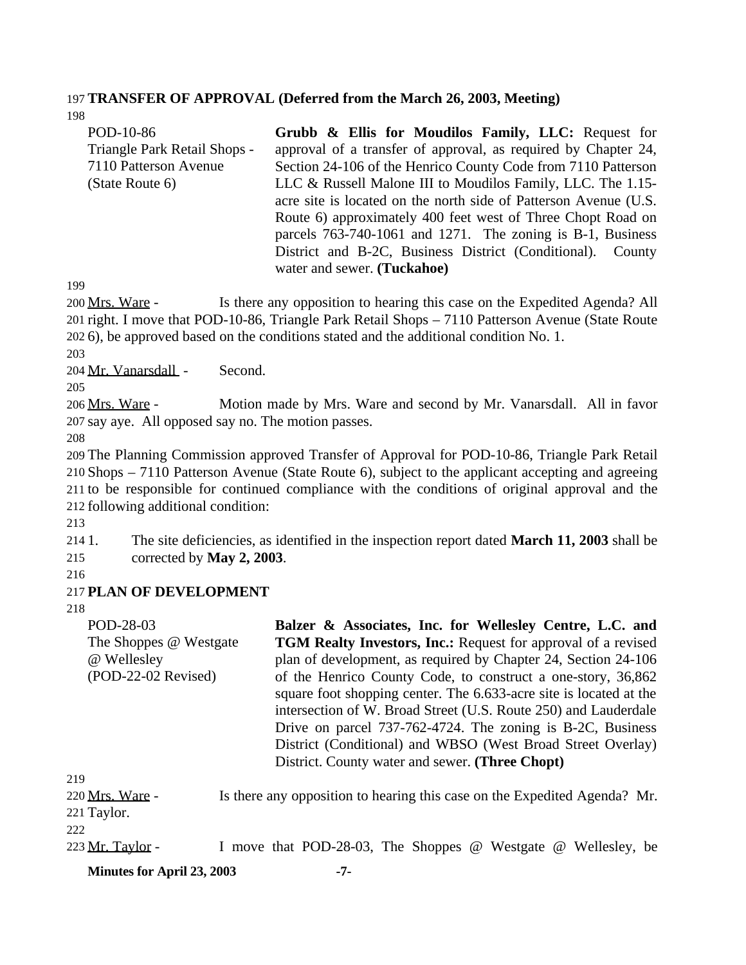## 197 **TRANSFER OF APPROVAL (Deferred from the March 26, 2003, Meeting)**

198

| POD-10-86                    | Grubb & Ellis for Moudilos Family, LLC: Request for              |
|------------------------------|------------------------------------------------------------------|
| Triangle Park Retail Shops - | approval of a transfer of approval, as required by Chapter 24,   |
| 7110 Patterson Avenue        | Section 24-106 of the Henrico County Code from 7110 Patterson    |
| (State Route 6)              | LLC & Russell Malone III to Moudilos Family, LLC. The 1.15-      |
|                              | acre site is located on the north side of Patterson Avenue (U.S. |
|                              | Route 6) approximately 400 feet west of Three Chopt Road on      |
|                              | parcels 763-740-1061 and 1271. The zoning is B-1, Business       |
|                              | District and B-2C, Business District (Conditional). County       |
|                              | water and sewer. (Tuckahoe)                                      |

199

200 Mrs. Ware - Is there any opposition to hearing this case on the Expedited Agenda? All 201 right. I move that POD-10-86, Triangle Park Retail Shops – 7110 Patterson Avenue (State Route 202 6), be approved based on the conditions stated and the additional condition No. 1.

203

204 Mr. Vanarsdall - Second.

205

206 Mrs. Ware - Motion made by Mrs. Ware and second by Mr. Vanarsdall. All in favor 207 say aye. All opposed say no. The motion passes.

208

 The Planning Commission approved Transfer of Approval for POD-10-86, Triangle Park Retail Shops – 7110 Patterson Avenue (State Route 6), subject to the applicant accepting and agreeing to be responsible for continued compliance with the conditions of original approval and the following additional condition:

213

214 1. The site deficiencies, as identified in the inspection report dated **March 11, 2003** shall be 215 corrected by **May 2, 2003**.

216

### 217 **PLAN OF DEVELOPMENT**

218

POD-28-03 The Shoppes @ Westgate @ Wellesley (POD-22-02 Revised) **Balzer & Associates, Inc. for Wellesley Centre, L.C. and TGM Realty Investors, Inc.:** Request for approval of a revised plan of development, as required by Chapter 24, Section 24-106 of the Henrico County Code, to construct a one-story, 36,862 square foot shopping center. The 6.633-acre site is located at the intersection of W. Broad Street (U.S. Route 250) and Lauderdale Drive on parcel 737-762-4724. The zoning is B-2C, Business District (Conditional) and WBSO (West Broad Street Overlay) District. County water and sewer. **(Three Chopt)** 219 220 Mrs. Ware - Is there any opposition to hearing this case on the Expedited Agenda? Mr.

221 Taylor. 222

223 Mr. Taylor - I move that POD-28-03, The Shoppes @ Westgate @ Wellesley, be

**Minutes for April 23, 2003 -7-**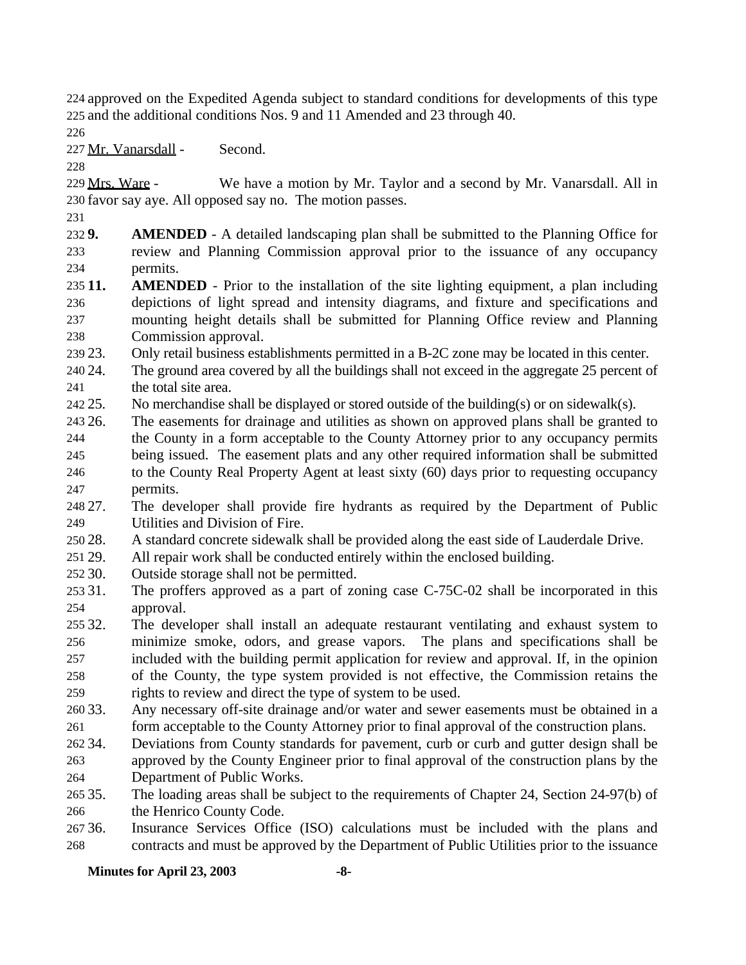approved on the Expedited Agenda subject to standard conditions for developments of this type and the additional conditions Nos. 9 and 11 Amended and 23 through 40.

Mr. Vanarsdall - Second.

229 Mrs. Ware - We have a motion by Mr. Taylor and a second by Mr. Vanarsdall. All in favor say aye. All opposed say no. The motion passes.

 **9. AMENDED** - A detailed landscaping plan shall be submitted to the Planning Office for review and Planning Commission approval prior to the issuance of any occupancy permits.

 **11. AMENDED** - Prior to the installation of the site lighting equipment, a plan including depictions of light spread and intensity diagrams, and fixture and specifications and mounting height details shall be submitted for Planning Office review and Planning Commission approval.

23. Only retail business establishments permitted in a B-2C zone may be located in this center.

 24. The ground area covered by all the buildings shall not exceed in the aggregate 25 percent of 241 the total site area.

25. No merchandise shall be displayed or stored outside of the building(s) or on sidewalk(s).

 26. The easements for drainage and utilities as shown on approved plans shall be granted to the County in a form acceptable to the County Attorney prior to any occupancy permits

 being issued. The easement plats and any other required information shall be submitted to the County Real Property Agent at least sixty (60) days prior to requesting occupancy

permits.

 27. The developer shall provide fire hydrants as required by the Department of Public Utilities and Division of Fire.

28. A standard concrete sidewalk shall be provided along the east side of Lauderdale Drive.

29. All repair work shall be conducted entirely within the enclosed building.

- 30. Outside storage shall not be permitted.
- 31. The proffers approved as a part of zoning case C-75C-02 shall be incorporated in this approval.

 32. The developer shall install an adequate restaurant ventilating and exhaust system to minimize smoke, odors, and grease vapors. The plans and specifications shall be included with the building permit application for review and approval. If, in the opinion of the County, the type system provided is not effective, the Commission retains the rights to review and direct the type of system to be used.

- 33. Any necessary off-site drainage and/or water and sewer easements must be obtained in a form acceptable to the County Attorney prior to final approval of the construction plans.
- 34. Deviations from County standards for pavement, curb or curb and gutter design shall be approved by the County Engineer prior to final approval of the construction plans by the
- Department of Public Works.
- 35. The loading areas shall be subject to the requirements of Chapter 24, Section 24-97(b) of the Henrico County Code.
- 36. Insurance Services Office (ISO) calculations must be included with the plans and contracts and must be approved by the Department of Public Utilities prior to the issuance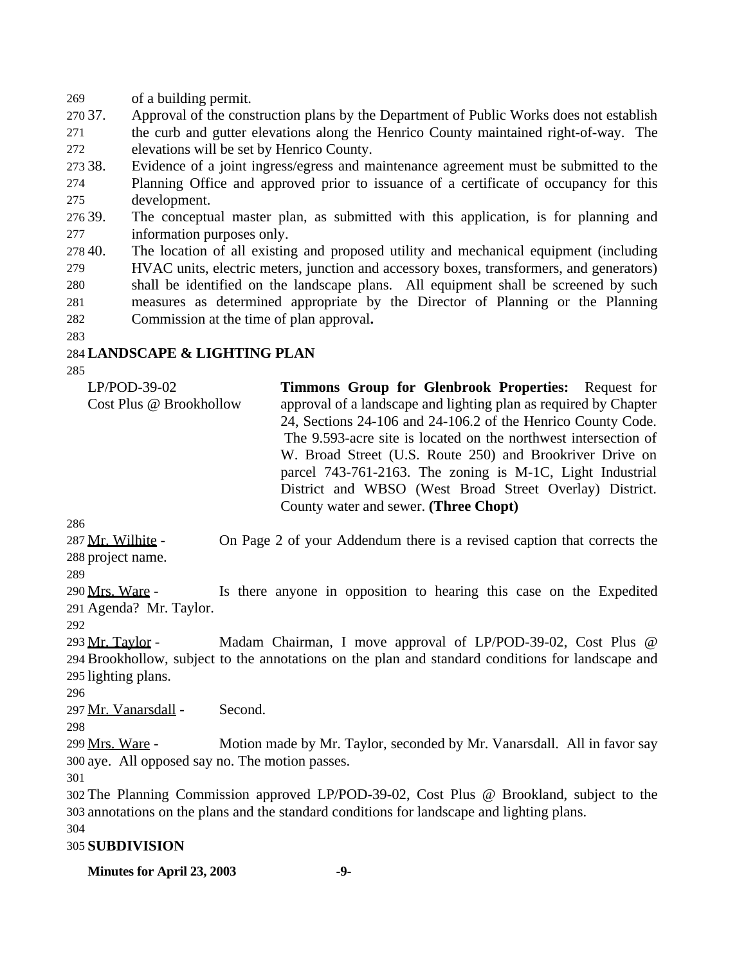of a building permit.

 37. Approval of the construction plans by the Department of Public Works does not establish the curb and gutter elevations along the Henrico County maintained right-of-way. The elevations will be set by Henrico County.

 38. Evidence of a joint ingress/egress and maintenance agreement must be submitted to the Planning Office and approved prior to issuance of a certificate of occupancy for this development.

 39. The conceptual master plan, as submitted with this application, is for planning and information purposes only.

- 40. The location of all existing and proposed utility and mechanical equipment (including HVAC units, electric meters, junction and accessory boxes, transformers, and generators) shall be identified on the landscape plans. All equipment shall be screened by such measures as determined appropriate by the Director of Planning or the Planning Commission at the time of plan approval**.**
- 

### **LANDSCAPE & LIGHTING PLAN**

LP/POD-39-02 Cost Plus @ Brookhollow **Timmons Group for Glenbrook Properties:** Request for approval of a landscape and lighting plan as required by Chapter 24, Sections 24-106 and 24-106.2 of the Henrico County Code. The 9.593-acre site is located on the northwest intersection of W. Broad Street (U.S. Route 250) and Brookriver Drive on parcel 743-761-2163. The zoning is M-1C, Light Industrial District and WBSO (West Broad Street Overlay) District. County water and sewer. **(Three Chopt)**

287 Mr. Wilhite - On Page 2 of your Addendum there is a revised caption that corrects the project name.

 Mrs. Ware - Is there anyone in opposition to hearing this case on the Expedited Agenda? Mr. Taylor.

 Mr. Taylor - Madam Chairman, I move approval of LP/POD-39-02, Cost Plus @ Brookhollow, subject to the annotations on the plan and standard conditions for landscape and lighting plans.

Mr. Vanarsdall - Second.

 Mrs. Ware - Motion made by Mr. Taylor, seconded by Mr. Vanarsdall. All in favor say aye. All opposed say no. The motion passes.

 The Planning Commission approved LP/POD-39-02, Cost Plus @ Brookland, subject to the annotations on the plans and the standard conditions for landscape and lighting plans.

### **SUBDIVISION**

**Minutes for April 23, 2003 -9-**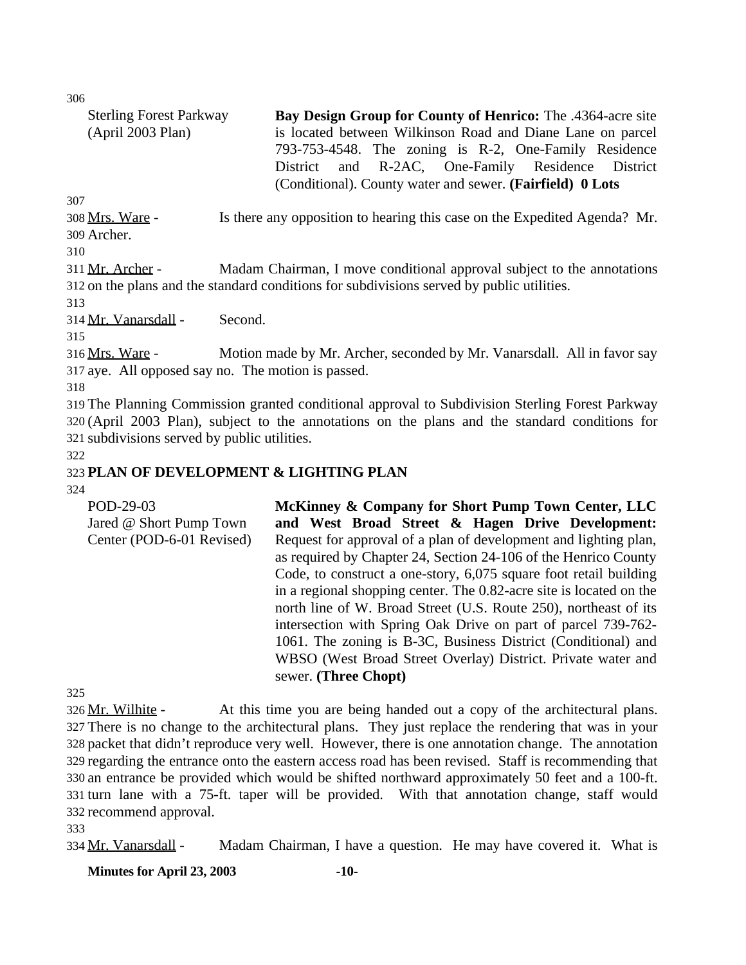306

| <b>Sterling Forest Parkway</b> | Bay Design Group for County of Henrico: The .4364-acre site                               |  |  |
|--------------------------------|-------------------------------------------------------------------------------------------|--|--|
| (Apri1 2003 Plan)              | is located between Wilkinson Road and Diane Lane on parcel                                |  |  |
|                                | 793-753-4548. The zoning is R-2, One-Family Residence                                     |  |  |
|                                | District and R-2AC, One-Family Residence District                                         |  |  |
|                                | (Conditional). County water and sewer. (Fairfield) 0 Lots                                 |  |  |
| 307                            |                                                                                           |  |  |
| 308 Mrs. Ware -                | Is there any opposition to hearing this case on the Expedited Agenda? Mr.                 |  |  |
| 309 Archer.                    |                                                                                           |  |  |
| 310                            |                                                                                           |  |  |
| 311 Mr. Archer -               | Madam Chairman, I move conditional approval subject to the annotations                    |  |  |
|                                | 312 on the plans and the standard conditions for subdivisions served by public utilities. |  |  |

313

314 Mr. Vanarsdall - Second.

315

316 Mrs. Ware - Motion made by Mr. Archer, seconded by Mr. Vanarsdall. All in favor say 317 aye. All opposed say no. The motion is passed.

318

319 The Planning Commission granted conditional approval to Subdivision Sterling Forest Parkway 320 (April 2003 Plan), subject to the annotations on the plans and the standard conditions for 321 subdivisions served by public utilities.

322

### 323 **PLAN OF DEVELOPMENT & LIGHTING PLAN**

#### 324

POD-29-03 Jared @ Short Pump Town Center (POD-6-01 Revised) **McKinney & Company for Short Pump Town Center, LLC and West Broad Street & Hagen Drive Development:** Request for approval of a plan of development and lighting plan, as required by Chapter 24, Section 24-106 of the Henrico County Code, to construct a one-story, 6,075 square foot retail building in a regional shopping center. The 0.82-acre site is located on the north line of W. Broad Street (U.S. Route 250), northeast of its intersection with Spring Oak Drive on part of parcel 739-762- 1061. The zoning is B-3C, Business District (Conditional) and WBSO (West Broad Street Overlay) District. Private water and sewer. **(Three Chopt)**

325

326 Mr. Wilhite - At this time you are being handed out a copy of the architectural plans. There is no change to the architectural plans. They just replace the rendering that was in your packet that didn't reproduce very well. However, there is one annotation change. The annotation regarding the entrance onto the eastern access road has been revised. Staff is recommending that an entrance be provided which would be shifted northward approximately 50 feet and a 100-ft. turn lane with a 75-ft. taper will be provided. With that annotation change, staff would recommend approval.

333

334 Mr. Vanarsdall - Madam Chairman, I have a question. He may have covered it. What is

**Minutes for April 23, 2003 -10-**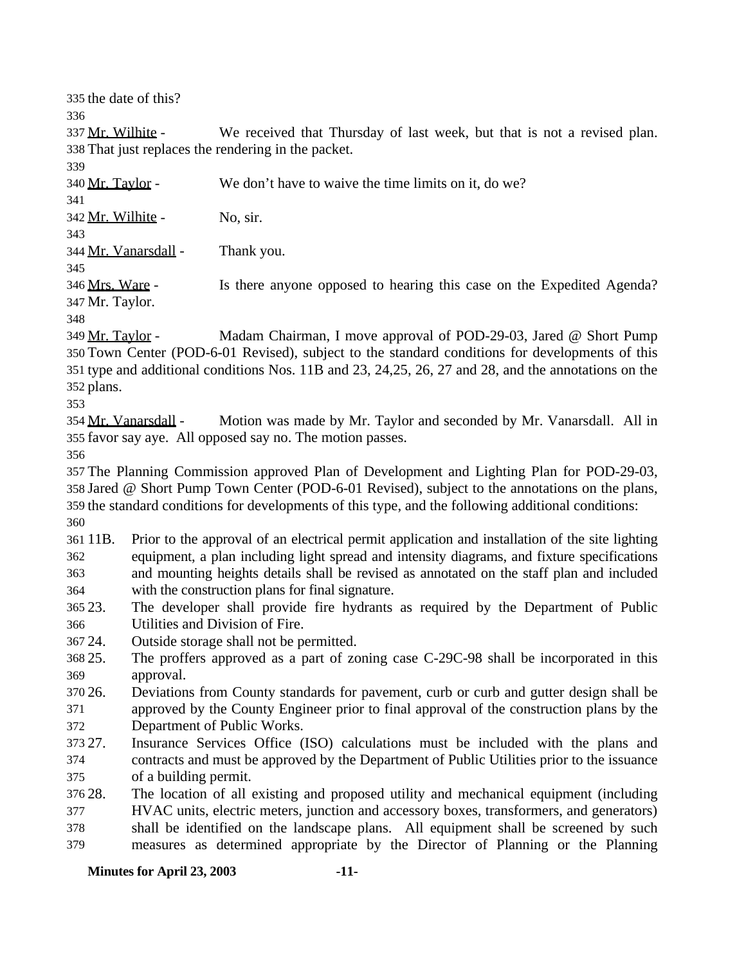the date of this?

337 Mr. Wilhite - We received that Thursday of last week, but that is not a revised plan. That just replaces the rendering in the packet.

Mr. Taylor - We don't have to waive the time limits on it, do we?

Mr. Wilhite - No, sir.

Mr. Vanarsdall - Thank you.

346 Mrs. Ware - Is there anyone opposed to hearing this case on the Expedited Agenda? Mr. Taylor.

 Mr. Taylor - Madam Chairman, I move approval of POD-29-03, Jared @ Short Pump Town Center (POD-6-01 Revised), subject to the standard conditions for developments of this type and additional conditions Nos. 11B and 23, 24,25, 26, 27 and 28, and the annotations on the plans.

354 Mr. Vanarsdall - Motion was made by Mr. Taylor and seconded by Mr. Vanarsdall. All in favor say aye. All opposed say no. The motion passes.

 The Planning Commission approved Plan of Development and Lighting Plan for POD-29-03, Jared @ Short Pump Town Center (POD-6-01 Revised), subject to the annotations on the plans, the standard conditions for developments of this type, and the following additional conditions: 

 11B. Prior to the approval of an electrical permit application and installation of the site lighting equipment, a plan including light spread and intensity diagrams, and fixture specifications and mounting heights details shall be revised as annotated on the staff plan and included with the construction plans for final signature.

 23. The developer shall provide fire hydrants as required by the Department of Public Utilities and Division of Fire.

24. Outside storage shall not be permitted.

 25. The proffers approved as a part of zoning case C-29C-98 shall be incorporated in this approval.

 26. Deviations from County standards for pavement, curb or curb and gutter design shall be approved by the County Engineer prior to final approval of the construction plans by the Department of Public Works.

 27. Insurance Services Office (ISO) calculations must be included with the plans and contracts and must be approved by the Department of Public Utilities prior to the issuance of a building permit.

 28. The location of all existing and proposed utility and mechanical equipment (including HVAC units, electric meters, junction and accessory boxes, transformers, and generators) shall be identified on the landscape plans. All equipment shall be screened by such measures as determined appropriate by the Director of Planning or the Planning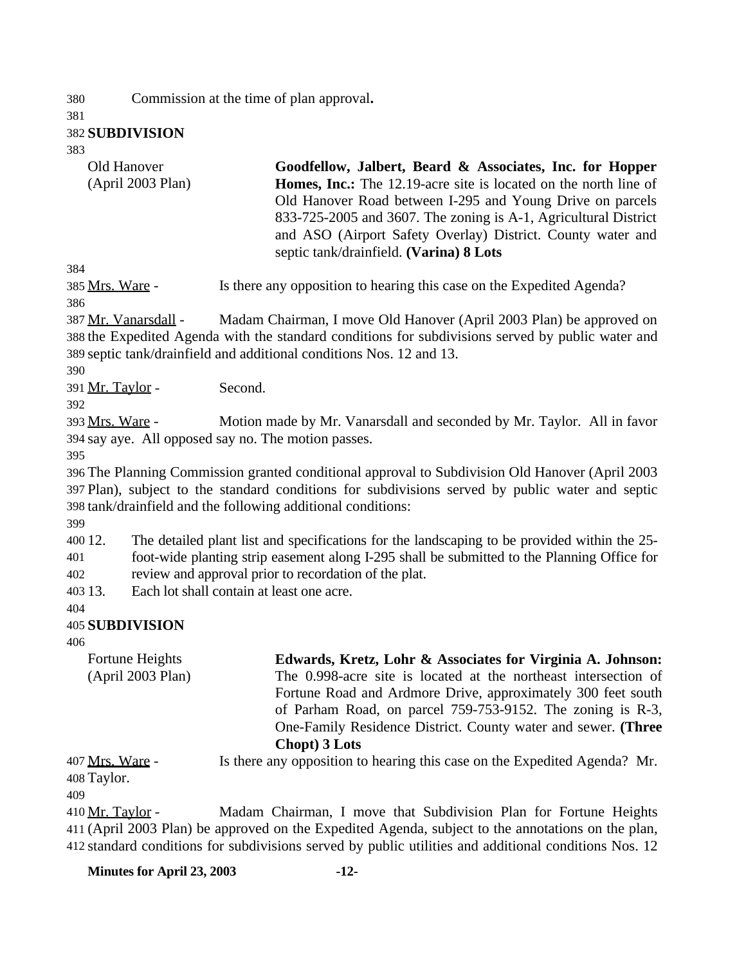Commission at the time of plan approval**.**

#### **SUBDIVISION**

Old Hanover

| (April 2003 Plan)    | Homes, Inc.: The 12.19-acre site is located on the north line of<br>Old Hanover Road between I-295 and Young Drive on parcels<br>833-725-2005 and 3607. The zoning is A-1, Agricultural District<br>and ASO (Airport Safety Overlay) District. County water and<br>septic tank/drainfield. (Varina) 8 Lots |
|----------------------|------------------------------------------------------------------------------------------------------------------------------------------------------------------------------------------------------------------------------------------------------------------------------------------------------------|
| 384                  |                                                                                                                                                                                                                                                                                                            |
| 385 Mrs. Ware -      | Is there any opposition to hearing this case on the Expedited Agenda?                                                                                                                                                                                                                                      |
| 386                  |                                                                                                                                                                                                                                                                                                            |
| 387 Mr. Vanarsdall - | Madam Chairman, I move Old Hanover (April 2003 Plan) be approved on                                                                                                                                                                                                                                        |
|                      | 388 the Expedited Agenda with the standard conditions for subdivisions served by public water and                                                                                                                                                                                                          |
|                      | 389 septic tank/drainfield and additional conditions Nos. 12 and 13.                                                                                                                                                                                                                                       |
| 390                  |                                                                                                                                                                                                                                                                                                            |
| 391 Mr. Taylor -     | Second.                                                                                                                                                                                                                                                                                                    |
| 392                  |                                                                                                                                                                                                                                                                                                            |
| 393 Mrs. Ware -      | Motion made by Mr. Vanarsdall and seconded by Mr. Taylor. All in favor                                                                                                                                                                                                                                     |
|                      | 394 say aye. All opposed say no. The motion passes.                                                                                                                                                                                                                                                        |
| 395                  |                                                                                                                                                                                                                                                                                                            |
|                      | 396 The Planning Commission granted conditional approval to Subdivision Old Hanover (April 2003                                                                                                                                                                                                            |
|                      | 397 Plan), subject to the standard conditions for subdivisions served by public water and septic                                                                                                                                                                                                           |
|                      | 398 tank/drainfield and the following additional conditions:                                                                                                                                                                                                                                               |
| 399                  |                                                                                                                                                                                                                                                                                                            |
|                      |                                                                                                                                                                                                                                                                                                            |

**Goodfellow, Jalbert, Beard & Associates, Inc. for Hopper**

 12. The detailed plant list and specifications for the landscaping to be provided within the 25- foot-wide planting strip easement along I-295 shall be submitted to the Planning Office for

review and approval prior to recordation of the plat.

13. Each lot shall contain at least one acre.

#### **SUBDIVISION**

| Fortune Heights                        | Edwards, Kretz, Lohr & Associates for Virginia A. Johnson:                |
|----------------------------------------|---------------------------------------------------------------------------|
| (April 2003 Plan)                      | The 0.998-acre site is located at the northeast intersection of           |
|                                        | Fortune Road and Ardmore Drive, approximately 300 feet south              |
|                                        | of Parham Road, on parcel 759-753-9152. The zoning is R-3,                |
|                                        | One-Family Residence District. County water and sewer. (Three             |
|                                        | Chopt) 3 Lots                                                             |
| 407 <u>Mrs. Ware</u> -<br>$100$ Toylor | Is there any opposition to hearing this case on the Expedited Agenda? Mr. |

Taylor.

 Mr. Taylor - Madam Chairman, I move that Subdivision Plan for Fortune Heights (April 2003 Plan) be approved on the Expedited Agenda, subject to the annotations on the plan, standard conditions for subdivisions served by public utilities and additional conditions Nos. 12

**Minutes for April 23, 2003 -12-**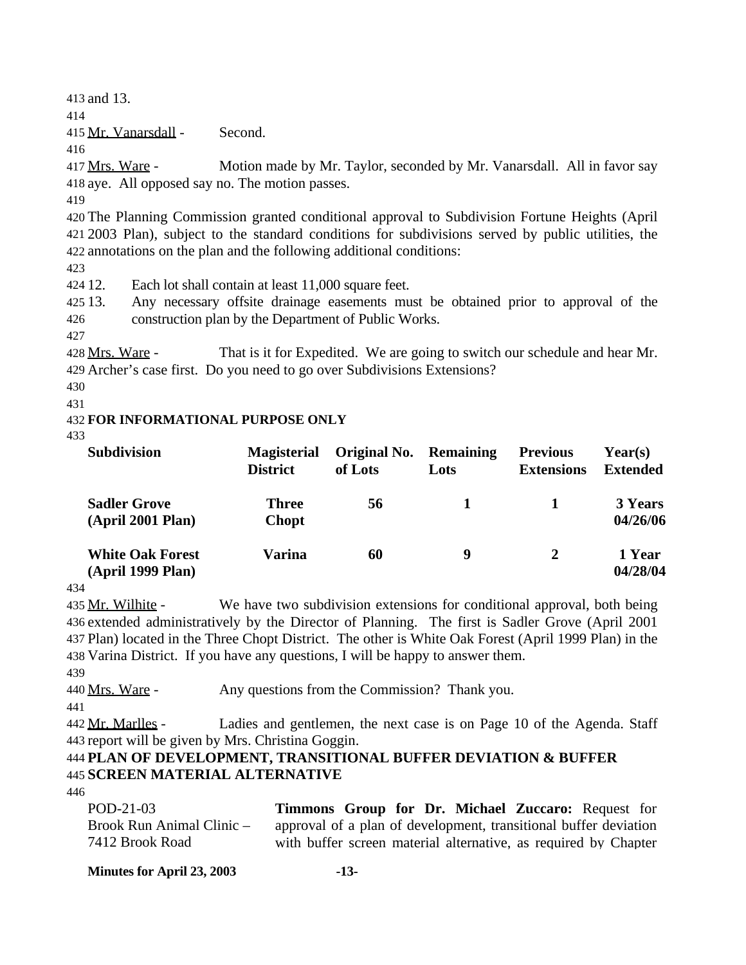413 and 13.

414

415 Mr. Vanarsdall - Second.

416

417 Mrs. Ware - Motion made by Mr. Taylor, seconded by Mr. Vanarsdall. All in favor say 418 aye. All opposed say no. The motion passes.

419

420 The Planning Commission granted conditional approval to Subdivision Fortune Heights (April 421 2003 Plan), subject to the standard conditions for subdivisions served by public utilities, the 422 annotations on the plan and the following additional conditions:

423

424 12. Each lot shall contain at least 11,000 square feet.

425 13. Any necessary offsite drainage easements must be obtained prior to approval of the 426 construction plan by the Department of Public Works.

427

428 Mrs. Ware - That is it for Expedited. We are going to switch our schedule and hear Mr. 429 Archer's case first. Do you need to go over Subdivisions Extensions?

430

431

### 432 **FOR INFORMATIONAL PURPOSE ONLY**

433

| <b>Subdivision</b>                           | <b>Magisterial</b><br><b>District</b> | Original No.<br>of Lots | <b>Remaining</b><br>Lots | <b>Previous</b><br><b>Extensions</b> | Year(s)<br><b>Extended</b> |
|----------------------------------------------|---------------------------------------|-------------------------|--------------------------|--------------------------------------|----------------------------|
| <b>Sadler Grove</b><br>(April 2001 Plan)     | <b>Three</b><br><b>Chopt</b>          | 56                      |                          |                                      | 3 Years<br>04/26/06        |
| <b>White Oak Forest</b><br>(April 1999 Plan) | <b>Varina</b>                         | 60                      | 9                        | $\mathbf{2}$                         | 1 Year<br>04/28/04         |

434

435 Mr. Wilhite - We have two subdivision extensions for conditional approval, both being extended administratively by the Director of Planning. The first is Sadler Grove (April 2001 Plan) located in the Three Chopt District. The other is White Oak Forest (April 1999 Plan) in the Varina District. If you have any questions, I will be happy to answer them.

439

440 Mrs. Ware - Any questions from the Commission? Thank you.

441

442 Mr. Marlles - Ladies and gentlemen, the next case is on Page 10 of the Agenda. Staff 443 report will be given by Mrs. Christina Goggin.

## 444 **PLAN OF DEVELOPMENT, TRANSITIONAL BUFFER DEVIATION & BUFFER** 445 **SCREEN MATERIAL ALTERNATIVE**

446

| POD-21-03                 | Timmons Group for Dr. Michael Zuccaro: Request for               |
|---------------------------|------------------------------------------------------------------|
| Brook Run Animal Clinic – | approval of a plan of development, transitional buffer deviation |
| 7412 Brook Road           | with buffer screen material alternative, as required by Chapter  |

**Minutes for April 23, 2003 -13-**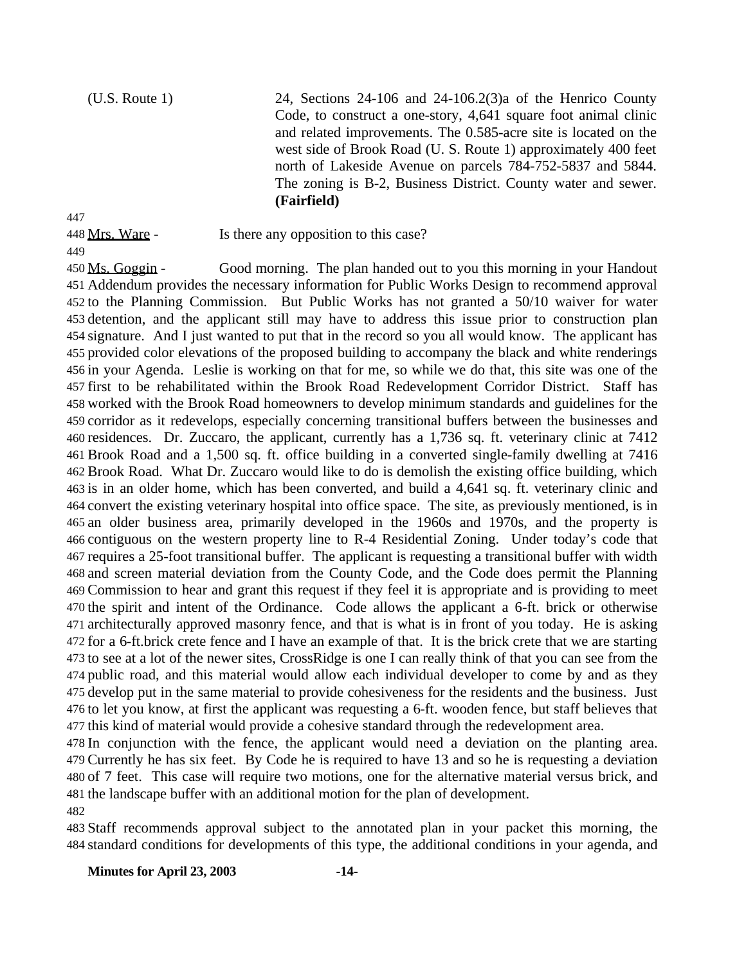(U.S. Route 1) 24, Sections 24-106 and 24-106.2(3) a of the Henrico County Code, to construct a one-story, 4,641 square foot animal clinic and related improvements. The 0.585-acre site is located on the west side of Brook Road (U. S. Route 1) approximately 400 feet north of Lakeside Avenue on parcels 784-752-5837 and 5844. The zoning is B-2, Business District. County water and sewer. **(Fairfield)**

448 Mrs. Ware - Is there any opposition to this case?

450 Ms. Goggin - Good morning. The plan handed out to you this morning in your Handout Addendum provides the necessary information for Public Works Design to recommend approval to the Planning Commission. But Public Works has not granted a 50/10 waiver for water detention, and the applicant still may have to address this issue prior to construction plan signature. And I just wanted to put that in the record so you all would know. The applicant has provided color elevations of the proposed building to accompany the black and white renderings in your Agenda. Leslie is working on that for me, so while we do that, this site was one of the first to be rehabilitated within the Brook Road Redevelopment Corridor District. Staff has worked with the Brook Road homeowners to develop minimum standards and guidelines for the corridor as it redevelops, especially concerning transitional buffers between the businesses and residences. Dr. Zuccaro, the applicant, currently has a 1,736 sq. ft. veterinary clinic at 7412 Brook Road and a 1,500 sq. ft. office building in a converted single-family dwelling at 7416 Brook Road. What Dr. Zuccaro would like to do is demolish the existing office building, which is in an older home, which has been converted, and build a 4,641 sq. ft. veterinary clinic and convert the existing veterinary hospital into office space. The site, as previously mentioned, is in an older business area, primarily developed in the 1960s and 1970s, and the property is contiguous on the western property line to R-4 Residential Zoning. Under today's code that requires a 25-foot transitional buffer. The applicant is requesting a transitional buffer with width and screen material deviation from the County Code, and the Code does permit the Planning Commission to hear and grant this request if they feel it is appropriate and is providing to meet the spirit and intent of the Ordinance. Code allows the applicant a 6-ft. brick or otherwise architecturally approved masonry fence, and that is what is in front of you today. He is asking for a 6-ft.brick crete fence and I have an example of that. It is the brick crete that we are starting to see at a lot of the newer sites, CrossRidge is one I can really think of that you can see from the public road, and this material would allow each individual developer to come by and as they develop put in the same material to provide cohesiveness for the residents and the business. Just to let you know, at first the applicant was requesting a 6-ft. wooden fence, but staff believes that this kind of material would provide a cohesive standard through the redevelopment area.

 In conjunction with the fence, the applicant would need a deviation on the planting area. Currently he has six feet. By Code he is required to have 13 and so he is requesting a deviation of 7 feet. This case will require two motions, one for the alternative material versus brick, and the landscape buffer with an additional motion for the plan of development.

 Staff recommends approval subject to the annotated plan in your packet this morning, the standard conditions for developments of this type, the additional conditions in your agenda, and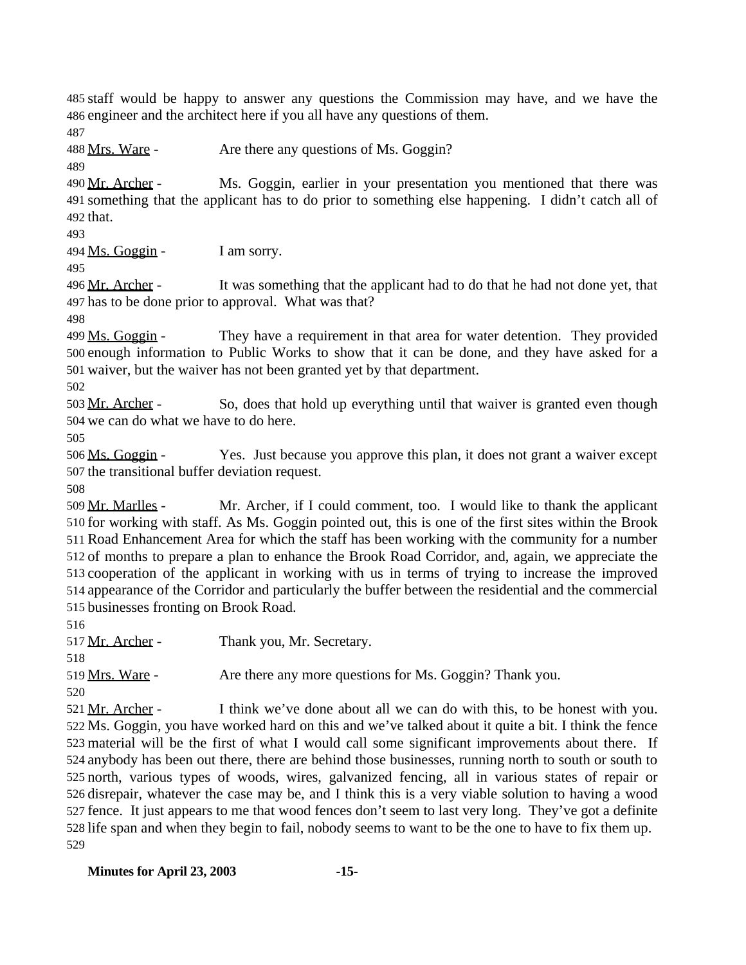staff would be happy to answer any questions the Commission may have, and we have the engineer and the architect here if you all have any questions of them.

488 Mrs. Ware - Are there any questions of Ms. Goggin?

490 Mr. Archer - Ms. Goggin, earlier in your presentation you mentioned that there was something that the applicant has to do prior to something else happening. I didn't catch all of that.

 $494 \,\mathrm{Ms}$ . Goggin - I am sorry.

496 Mr. Archer - It was something that the applicant had to do that he had not done yet, that has to be done prior to approval. What was that?

499 Ms. Goggin - They have a requirement in that area for water detention. They provided enough information to Public Works to show that it can be done, and they have asked for a waiver, but the waiver has not been granted yet by that department.

503 Mr. Archer - So, does that hold up everything until that waiver is granted even though we can do what we have to do here.

 Ms. Goggin - Yes. Just because you approve this plan, it does not grant a waiver except the transitional buffer deviation request.

 Mr. Marlles - Mr. Archer, if I could comment, too. I would like to thank the applicant for working with staff. As Ms. Goggin pointed out, this is one of the first sites within the Brook Road Enhancement Area for which the staff has been working with the community for a number of months to prepare a plan to enhance the Brook Road Corridor, and, again, we appreciate the cooperation of the applicant in working with us in terms of trying to increase the improved appearance of the Corridor and particularly the buffer between the residential and the commercial businesses fronting on Brook Road.

517 Mr. Archer - Thank you, Mr. Secretary.

Mrs. Ware - Are there any more questions for Ms. Goggin? Thank you.

521 Mr. Archer - I think we've done about all we can do with this, to be honest with you. Ms. Goggin, you have worked hard on this and we've talked about it quite a bit. I think the fence material will be the first of what I would call some significant improvements about there. If anybody has been out there, there are behind those businesses, running north to south or south to north, various types of woods, wires, galvanized fencing, all in various states of repair or disrepair, whatever the case may be, and I think this is a very viable solution to having a wood fence. It just appears to me that wood fences don't seem to last very long. They've got a definite life span and when they begin to fail, nobody seems to want to be the one to have to fix them up.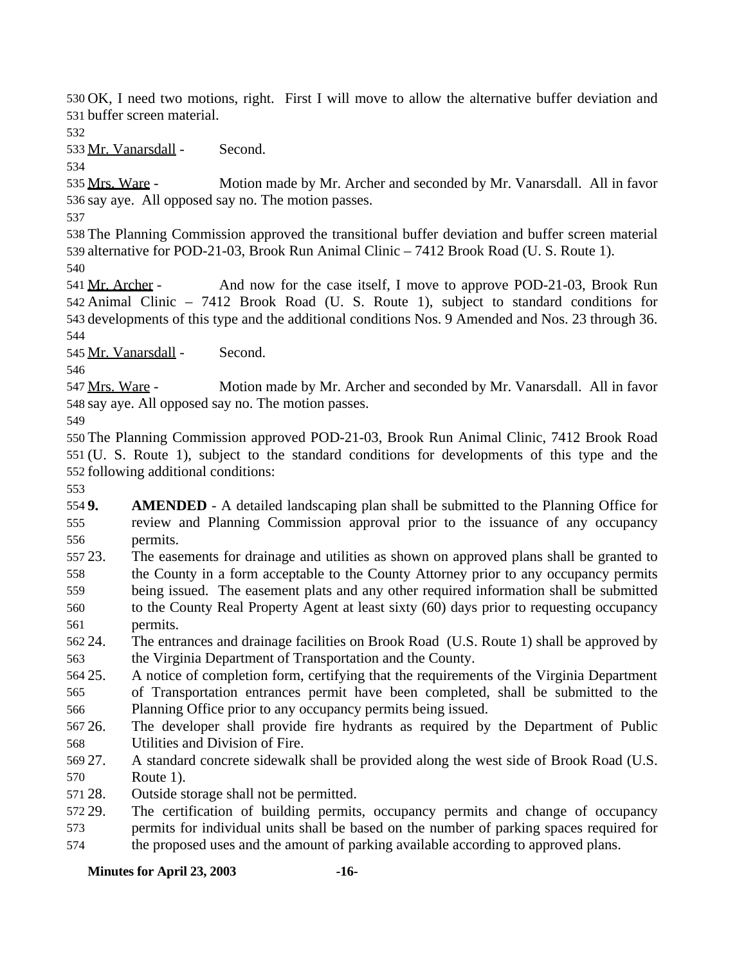OK, I need two motions, right. First I will move to allow the alternative buffer deviation and buffer screen material.

Mr. Vanarsdall - Second.

 Mrs. Ware - Motion made by Mr. Archer and seconded by Mr. Vanarsdall. All in favor say aye. All opposed say no. The motion passes.

 The Planning Commission approved the transitional buffer deviation and buffer screen material alternative for POD-21-03, Brook Run Animal Clinic – 7412 Brook Road (U. S. Route 1). 

541 Mr. Archer - And now for the case itself, I move to approve POD-21-03, Brook Run Animal Clinic – 7412 Brook Road (U. S. Route 1), subject to standard conditions for developments of this type and the additional conditions Nos. 9 Amended and Nos. 23 through 36. 

Mr. Vanarsdall - Second.

 Mrs. Ware - Motion made by Mr. Archer and seconded by Mr. Vanarsdall. All in favor say aye. All opposed say no. The motion passes.

 The Planning Commission approved POD-21-03, Brook Run Animal Clinic, 7412 Brook Road (U. S. Route 1), subject to the standard conditions for developments of this type and the following additional conditions:

 **9. AMENDED** - A detailed landscaping plan shall be submitted to the Planning Office for review and Planning Commission approval prior to the issuance of any occupancy permits.

 23. The easements for drainage and utilities as shown on approved plans shall be granted to the County in a form acceptable to the County Attorney prior to any occupancy permits

- being issued. The easement plats and any other required information shall be submitted to the County Real Property Agent at least sixty (60) days prior to requesting occupancy permits.
- 24. The entrances and drainage facilities on Brook Road (U.S. Route 1) shall be approved by the Virginia Department of Transportation and the County.
- 25. A notice of completion form, certifying that the requirements of the Virginia Department of Transportation entrances permit have been completed, shall be submitted to the Planning Office prior to any occupancy permits being issued.
- 26. The developer shall provide fire hydrants as required by the Department of Public Utilities and Division of Fire.
- 27. A standard concrete sidewalk shall be provided along the west side of Brook Road (U.S. Route 1).
- 28. Outside storage shall not be permitted.
- 29. The certification of building permits, occupancy permits and change of occupancy permits for individual units shall be based on the number of parking spaces required for
- the proposed uses and the amount of parking available according to approved plans.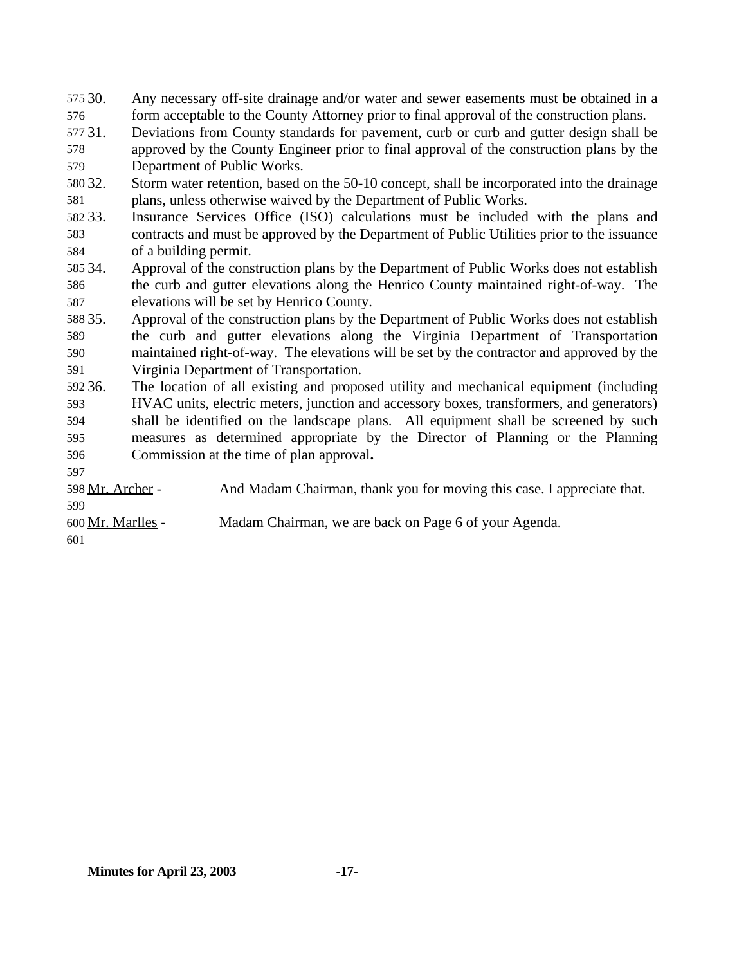30. Any necessary off-site drainage and/or water and sewer easements must be obtained in a form acceptable to the County Attorney prior to final approval of the construction plans. 31. Deviations from County standards for pavement, curb or curb and gutter design shall be approved by the County Engineer prior to final approval of the construction plans by the Department of Public Works. 32. Storm water retention, based on the 50-10 concept, shall be incorporated into the drainage plans, unless otherwise waived by the Department of Public Works. 33. Insurance Services Office (ISO) calculations must be included with the plans and contracts and must be approved by the Department of Public Utilities prior to the issuance of a building permit. 34. Approval of the construction plans by the Department of Public Works does not establish the curb and gutter elevations along the Henrico County maintained right-of-way. The elevations will be set by Henrico County. 35. Approval of the construction plans by the Department of Public Works does not establish the curb and gutter elevations along the Virginia Department of Transportation maintained right-of-way. The elevations will be set by the contractor and approved by the Virginia Department of Transportation. 36. The location of all existing and proposed utility and mechanical equipment (including HVAC units, electric meters, junction and accessory boxes, transformers, and generators) shall be identified on the landscape plans. All equipment shall be screened by such measures as determined appropriate by the Director of Planning or the Planning Commission at the time of plan approval**.** 598 Mr. Archer - And Madam Chairman, thank you for moving this case. I appreciate that. Mr. Marlles - Madam Chairman, we are back on Page 6 of your Agenda.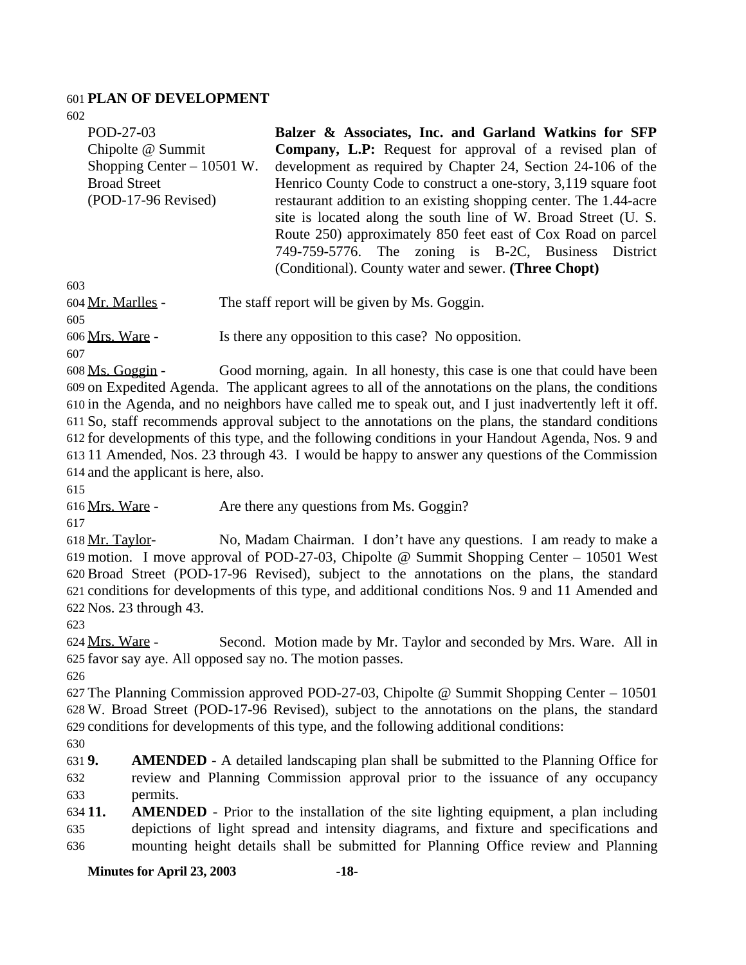#### **PLAN OF DEVELOPMENT**

| POD-27-03                   | Balzer & Associates, Inc. and Garland Watkins for SFP             |
|-----------------------------|-------------------------------------------------------------------|
| Chipolte @ Summit           | <b>Company, L.P:</b> Request for approval of a revised plan of    |
| Shopping Center $-10501$ W. | development as required by Chapter 24, Section 24-106 of the      |
| <b>Broad Street</b>         | Henrico County Code to construct a one-story, 3,119 square foot   |
| (POD-17-96 Revised)         | restaurant addition to an existing shopping center. The 1.44-acre |
|                             | site is located along the south line of W. Broad Street (U. S.    |
|                             | Route 250) approximately 850 feet east of Cox Road on parcel      |
|                             | 749-759-5776. The zoning is B-2C, Business District               |
|                             | (Conditional). County water and sewer. (Three Chopt)              |
| 603                         |                                                                   |
| 604 Mr. Marlles -           | The staff report will be given by Ms. Goggin.                     |
| 605                         |                                                                   |
| 606 Mrs. Ware -             | Is there any opposition to this case? No opposition.              |

 Ms. Goggin - Good morning, again. In all honesty, this case is one that could have been on Expedited Agenda. The applicant agrees to all of the annotations on the plans, the conditions in the Agenda, and no neighbors have called me to speak out, and I just inadvertently left it off. So, staff recommends approval subject to the annotations on the plans, the standard conditions for developments of this type, and the following conditions in your Handout Agenda, Nos. 9 and 11 Amended, Nos. 23 through 43. I would be happy to answer any questions of the Commission and the applicant is here, also.

616 Mrs. Ware - Are there any questions from Ms. Goggin?

 Mr. Taylor- No, Madam Chairman. I don't have any questions. I am ready to make a motion. I move approval of POD-27-03, Chipolte @ Summit Shopping Center – 10501 West Broad Street (POD-17-96 Revised), subject to the annotations on the plans, the standard conditions for developments of this type, and additional conditions Nos. 9 and 11 Amended and Nos. 23 through 43.

 Mrs. Ware - Second. Motion made by Mr. Taylor and seconded by Mrs. Ware. All in favor say aye. All opposed say no. The motion passes.

 The Planning Commission approved POD-27-03, Chipolte @ Summit Shopping Center – 10501 W. Broad Street (POD-17-96 Revised), subject to the annotations on the plans, the standard conditions for developments of this type, and the following additional conditions:

 **9. AMENDED** - A detailed landscaping plan shall be submitted to the Planning Office for review and Planning Commission approval prior to the issuance of any occupancy permits.

 **11. AMENDED** - Prior to the installation of the site lighting equipment, a plan including depictions of light spread and intensity diagrams, and fixture and specifications and mounting height details shall be submitted for Planning Office review and Planning

**Minutes for April 23, 2003 -18-**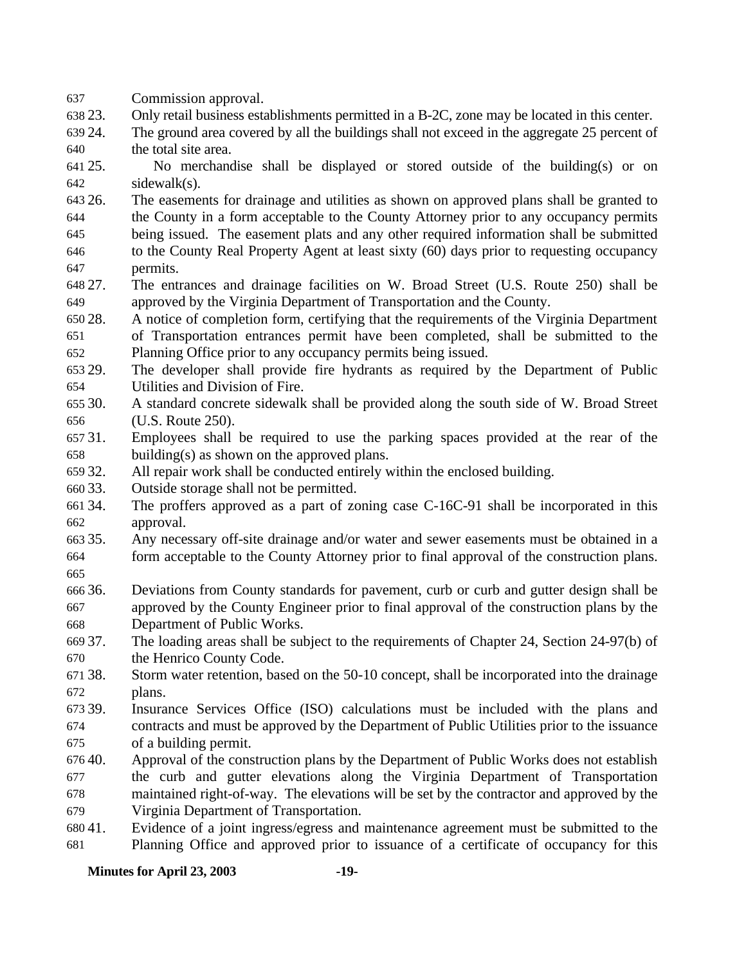Commission approval.

- 23. Only retail business establishments permitted in a B-2C, zone may be located in this center.
- 24. The ground area covered by all the buildings shall not exceed in the aggregate 25 percent of the total site area.
- 25. No merchandise shall be displayed or stored outside of the building(s) or on sidewalk(s).
- 26. The easements for drainage and utilities as shown on approved plans shall be granted to the County in a form acceptable to the County Attorney prior to any occupancy permits being issued. The easement plats and any other required information shall be submitted to the County Real Property Agent at least sixty (60) days prior to requesting occupancy permits.
- 27. The entrances and drainage facilities on W. Broad Street (U.S. Route 250) shall be approved by the Virginia Department of Transportation and the County.
- 28. A notice of completion form, certifying that the requirements of the Virginia Department of Transportation entrances permit have been completed, shall be submitted to the Planning Office prior to any occupancy permits being issued.
- 29. The developer shall provide fire hydrants as required by the Department of Public Utilities and Division of Fire.
- 30. A standard concrete sidewalk shall be provided along the south side of W. Broad Street (U.S. Route 250).
- 31. Employees shall be required to use the parking spaces provided at the rear of the building(s) as shown on the approved plans.
- 32. All repair work shall be conducted entirely within the enclosed building.
- 33. Outside storage shall not be permitted.
- 34. The proffers approved as a part of zoning case C-16C-91 shall be incorporated in this approval.
- 35. Any necessary off-site drainage and/or water and sewer easements must be obtained in a form acceptable to the County Attorney prior to final approval of the construction plans.
- 
- 36. Deviations from County standards for pavement, curb or curb and gutter design shall be approved by the County Engineer prior to final approval of the construction plans by the Department of Public Works.
- 37. The loading areas shall be subject to the requirements of Chapter 24, Section 24-97(b) of the Henrico County Code.
- 38. Storm water retention, based on the 50-10 concept, shall be incorporated into the drainage plans.
- 39. Insurance Services Office (ISO) calculations must be included with the plans and contracts and must be approved by the Department of Public Utilities prior to the issuance of a building permit.
- 40. Approval of the construction plans by the Department of Public Works does not establish the curb and gutter elevations along the Virginia Department of Transportation maintained right-of-way. The elevations will be set by the contractor and approved by the Virginia Department of Transportation.
- 41. Evidence of a joint ingress/egress and maintenance agreement must be submitted to the Planning Office and approved prior to issuance of a certificate of occupancy for this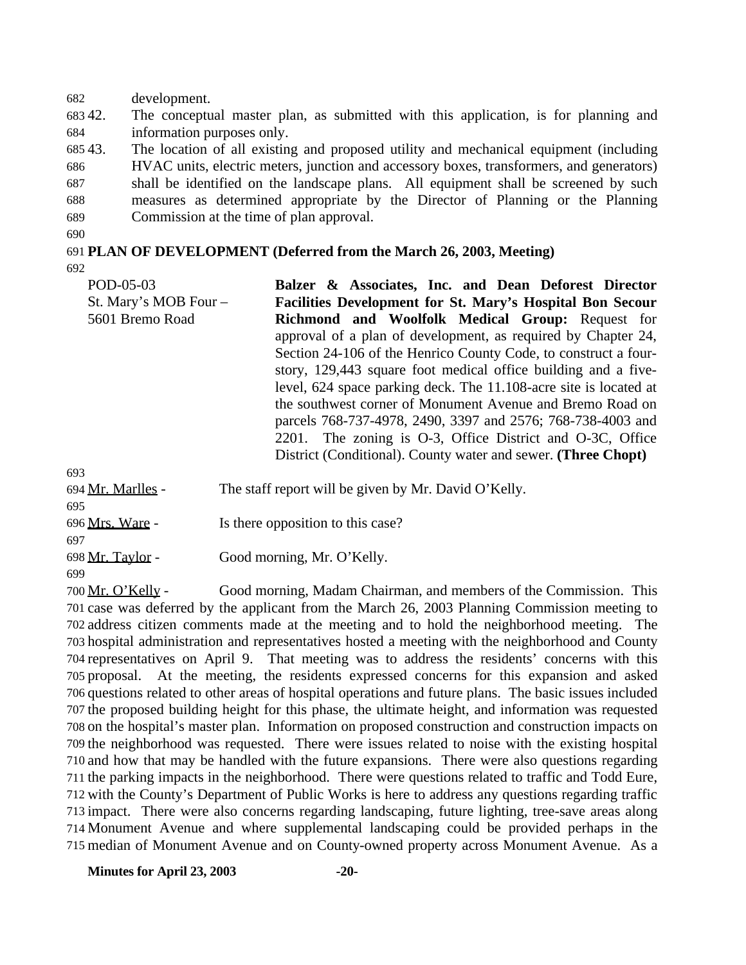development.

 42. The conceptual master plan, as submitted with this application, is for planning and information purposes only.

 43. The location of all existing and proposed utility and mechanical equipment (including HVAC units, electric meters, junction and accessory boxes, transformers, and generators) shall be identified on the landscape plans. All equipment shall be screened by such measures as determined appropriate by the Director of Planning or the Planning

Commission at the time of plan approval.

### **PLAN OF DEVELOPMENT (Deferred from the March 26, 2003, Meeting)**

POD-05-03 St. Mary's MOB Four – 5601 Bremo Road **Balzer & Associates, Inc. and Dean Deforest Director Facilities Development for St. Mary's Hospital Bon Secour Richmond and Woolfolk Medical Group:** Request for approval of a plan of development, as required by Chapter 24, Section 24-106 of the Henrico County Code, to construct a fourstory, 129,443 square foot medical office building and a fivelevel, 624 space parking deck. The 11.108-acre site is located at the southwest corner of Monument Avenue and Bremo Road on parcels 768-737-4978, 2490, 3397 and 2576; 768-738-4003 and 2201. The zoning is O-3, Office District and O-3C, Office District (Conditional). County water and sewer. **(Three Chopt)**

| ריכת              |                                                      |
|-------------------|------------------------------------------------------|
| 694 Mr. Marlles - | The staff report will be given by Mr. David O'Kelly. |
| 695               |                                                      |
| 696 Mrs. Ware -   | Is there opposition to this case?                    |
| 697               |                                                      |
| 698 Mr. Taylor -  | Good morning, Mr. O'Kelly.                           |
| 699               |                                                      |

 Mr. O'Kelly - Good morning, Madam Chairman, and members of the Commission. This case was deferred by the applicant from the March 26, 2003 Planning Commission meeting to address citizen comments made at the meeting and to hold the neighborhood meeting. The hospital administration and representatives hosted a meeting with the neighborhood and County representatives on April 9. That meeting was to address the residents' concerns with this proposal. At the meeting, the residents expressed concerns for this expansion and asked questions related to other areas of hospital operations and future plans. The basic issues included the proposed building height for this phase, the ultimate height, and information was requested on the hospital's master plan. Information on proposed construction and construction impacts on the neighborhood was requested. There were issues related to noise with the existing hospital and how that may be handled with the future expansions. There were also questions regarding the parking impacts in the neighborhood. There were questions related to traffic and Todd Eure, with the County's Department of Public Works is here to address any questions regarding traffic impact. There were also concerns regarding landscaping, future lighting, tree-save areas along Monument Avenue and where supplemental landscaping could be provided perhaps in the median of Monument Avenue and on County-owned property across Monument Avenue. As a

**Minutes for April 23, 2003 -20-**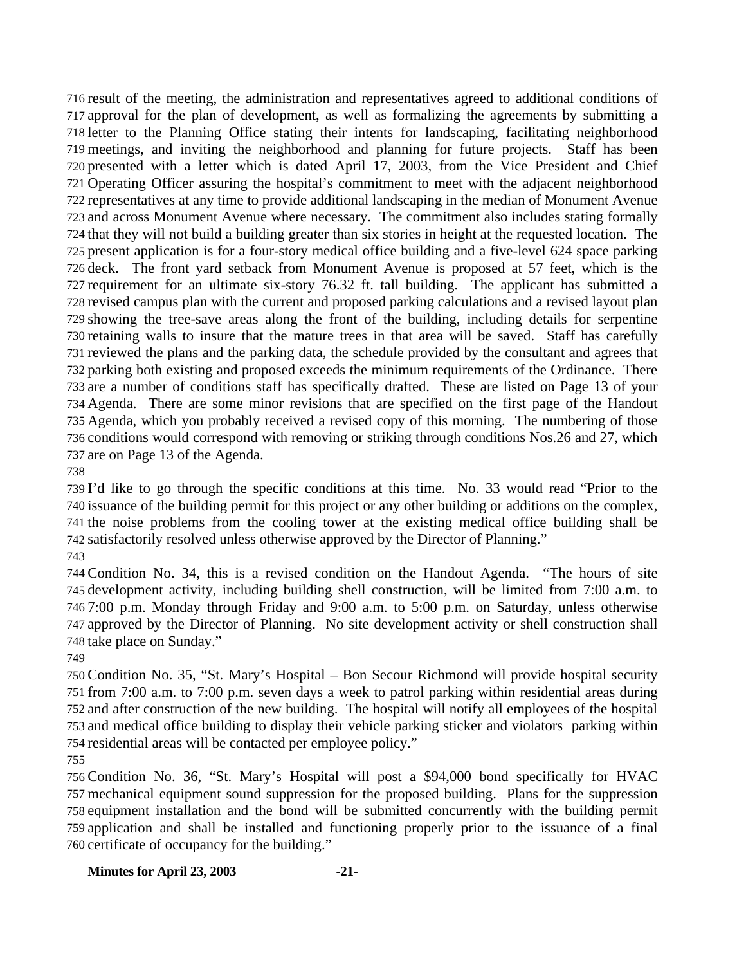result of the meeting, the administration and representatives agreed to additional conditions of approval for the plan of development, as well as formalizing the agreements by submitting a letter to the Planning Office stating their intents for landscaping, facilitating neighborhood meetings, and inviting the neighborhood and planning for future projects. Staff has been presented with a letter which is dated April 17, 2003, from the Vice President and Chief Operating Officer assuring the hospital's commitment to meet with the adjacent neighborhood representatives at any time to provide additional landscaping in the median of Monument Avenue and across Monument Avenue where necessary. The commitment also includes stating formally that they will not build a building greater than six stories in height at the requested location. The present application is for a four-story medical office building and a five-level 624 space parking deck. The front yard setback from Monument Avenue is proposed at 57 feet, which is the requirement for an ultimate six-story 76.32 ft. tall building. The applicant has submitted a revised campus plan with the current and proposed parking calculations and a revised layout plan showing the tree-save areas along the front of the building, including details for serpentine retaining walls to insure that the mature trees in that area will be saved. Staff has carefully reviewed the plans and the parking data, the schedule provided by the consultant and agrees that parking both existing and proposed exceeds the minimum requirements of the Ordinance. There are a number of conditions staff has specifically drafted. These are listed on Page 13 of your Agenda. There are some minor revisions that are specified on the first page of the Handout Agenda, which you probably received a revised copy of this morning. The numbering of those conditions would correspond with removing or striking through conditions Nos.26 and 27, which are on Page 13 of the Agenda.

 I'd like to go through the specific conditions at this time. No. 33 would read "Prior to the issuance of the building permit for this project or any other building or additions on the complex, the noise problems from the cooling tower at the existing medical office building shall be satisfactorily resolved unless otherwise approved by the Director of Planning."

 Condition No. 34, this is a revised condition on the Handout Agenda. "The hours of site development activity, including building shell construction, will be limited from 7:00 a.m. to 7:00 p.m. Monday through Friday and 9:00 a.m. to 5:00 p.m. on Saturday, unless otherwise approved by the Director of Planning. No site development activity or shell construction shall take place on Sunday."

 Condition No. 35, "St. Mary's Hospital – Bon Secour Richmond will provide hospital security from 7:00 a.m. to 7:00 p.m. seven days a week to patrol parking within residential areas during and after construction of the new building. The hospital will notify all employees of the hospital and medical office building to display their vehicle parking sticker and violators parking within residential areas will be contacted per employee policy."

 Condition No. 36, "St. Mary's Hospital will post a \$94,000 bond specifically for HVAC mechanical equipment sound suppression for the proposed building. Plans for the suppression equipment installation and the bond will be submitted concurrently with the building permit application and shall be installed and functioning properly prior to the issuance of a final certificate of occupancy for the building."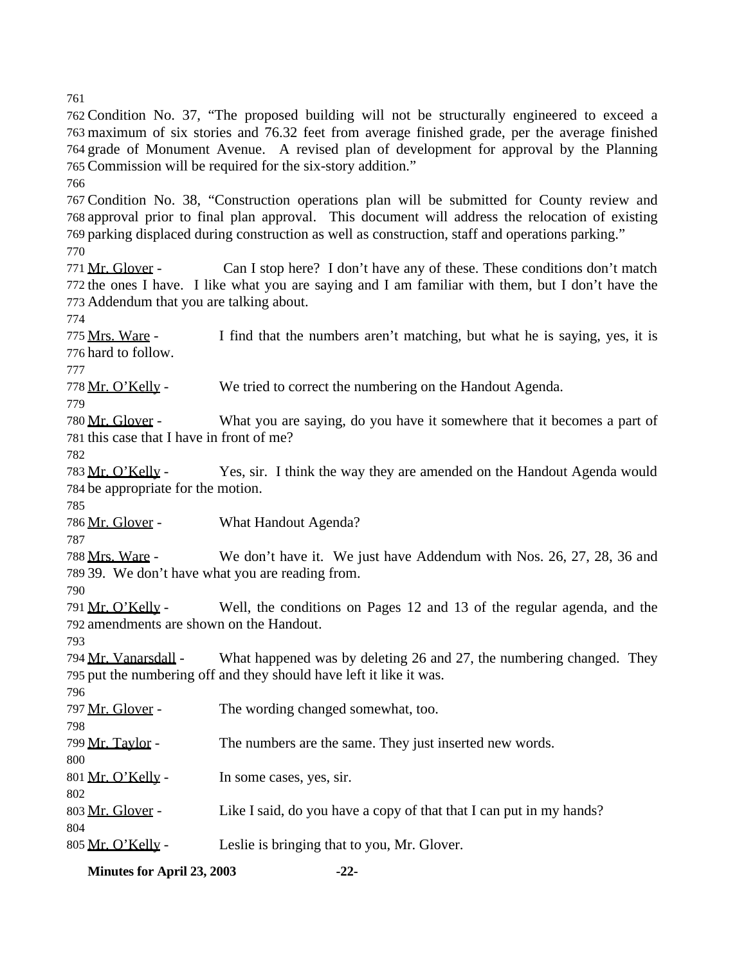Condition No. 37, "The proposed building will not be structurally engineered to exceed a maximum of six stories and 76.32 feet from average finished grade, per the average finished grade of Monument Avenue. A revised plan of development for approval by the Planning Commission will be required for the six-story addition." Condition No. 38, "Construction operations plan will be submitted for County review and approval prior to final plan approval. This document will address the relocation of existing parking displaced during construction as well as construction, staff and operations parking." Mr. Glover - Can I stop here? I don't have any of these. These conditions don't match the ones I have. I like what you are saying and I am familiar with them, but I don't have the Addendum that you are talking about. Mrs. Ware - I find that the numbers aren't matching, but what he is saying, yes, it is hard to follow. Mr. O'Kelly - We tried to correct the numbering on the Handout Agenda. 780 Mr. Glover - What you are saying, do you have it somewhere that it becomes a part of this case that I have in front of me? Mr. O'Kelly - Yes, sir. I think the way they are amended on the Handout Agenda would be appropriate for the motion. 786 Mr. Glover - What Handout Agenda? Mrs. Ware - We don't have it. We just have Addendum with Nos. 26, 27, 28, 36 and 39. We don't have what you are reading from. Mr. O'Kelly - Well, the conditions on Pages 12 and 13 of the regular agenda, and the amendments are shown on the Handout. 794 Mr. Vanarsdall - What happened was by deleting 26 and 27, the numbering changed. They put the numbering off and they should have left it like it was. 797 Mr. Glover - The wording changed somewhat, too. 799 Mr. Taylor - The numbers are the same. They just inserted new words. 801 Mr. O'Kelly - In some cases, yes, sir. 803 Mr. Glover - Like I said, do you have a copy of that that I can put in my hands? 805 Mr. O'Kelly - Leslie is bringing that to you, Mr. Glover.

**Minutes for April 23, 2003 -22-**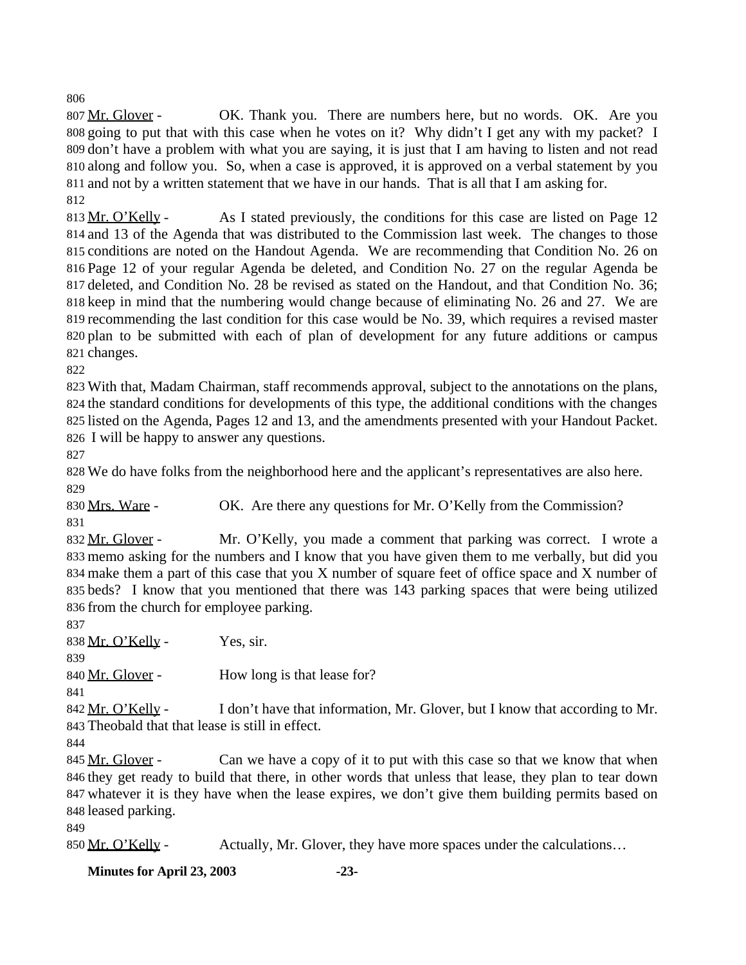807 Mr. Glover - OK. Thank you. There are numbers here, but no words. OK. Are you going to put that with this case when he votes on it? Why didn't I get any with my packet? I don't have a problem with what you are saying, it is just that I am having to listen and not read along and follow you. So, when a case is approved, it is approved on a verbal statement by you and not by a written statement that we have in our hands. That is all that I am asking for. 

813 Mr. O'Kelly - As I stated previously, the conditions for this case are listed on Page 12 and 13 of the Agenda that was distributed to the Commission last week. The changes to those conditions are noted on the Handout Agenda. We are recommending that Condition No. 26 on Page 12 of your regular Agenda be deleted, and Condition No. 27 on the regular Agenda be deleted, and Condition No. 28 be revised as stated on the Handout, and that Condition No. 36; keep in mind that the numbering would change because of eliminating No. 26 and 27. We are recommending the last condition for this case would be No. 39, which requires a revised master plan to be submitted with each of plan of development for any future additions or campus changes.

 With that, Madam Chairman, staff recommends approval, subject to the annotations on the plans, the standard conditions for developments of this type, the additional conditions with the changes listed on the Agenda, Pages 12 and 13, and the amendments presented with your Handout Packet. I will be happy to answer any questions.

 We do have folks from the neighborhood here and the applicant's representatives are also here. 

830 Mrs. Ware - OK. Are there any questions for Mr. O'Kelly from the Commission?

832 Mr. Glover - Mr. O'Kelly, you made a comment that parking was correct. I wrote a memo asking for the numbers and I know that you have given them to me verbally, but did you make them a part of this case that you X number of square feet of office space and X number of beds? I know that you mentioned that there was 143 parking spaces that were being utilized from the church for employee parking.

838 Mr. O'Kelly - Yes, sir.

840 Mr. Glover - How long is that lease for?

842  $Mr. O'Kelly - I don't have that information, Mr. Glover, but I know that according to Mr.$ Theobald that that lease is still in effect.

845 Mr. Glover - Can we have a copy of it to put with this case so that we know that when they get ready to build that there, in other words that unless that lease, they plan to tear down whatever it is they have when the lease expires, we don't give them building permits based on leased parking.

850 Mr. O'Kelly - Actually, Mr. Glover, they have more spaces under the calculations...

**Minutes for April 23, 2003 -23-**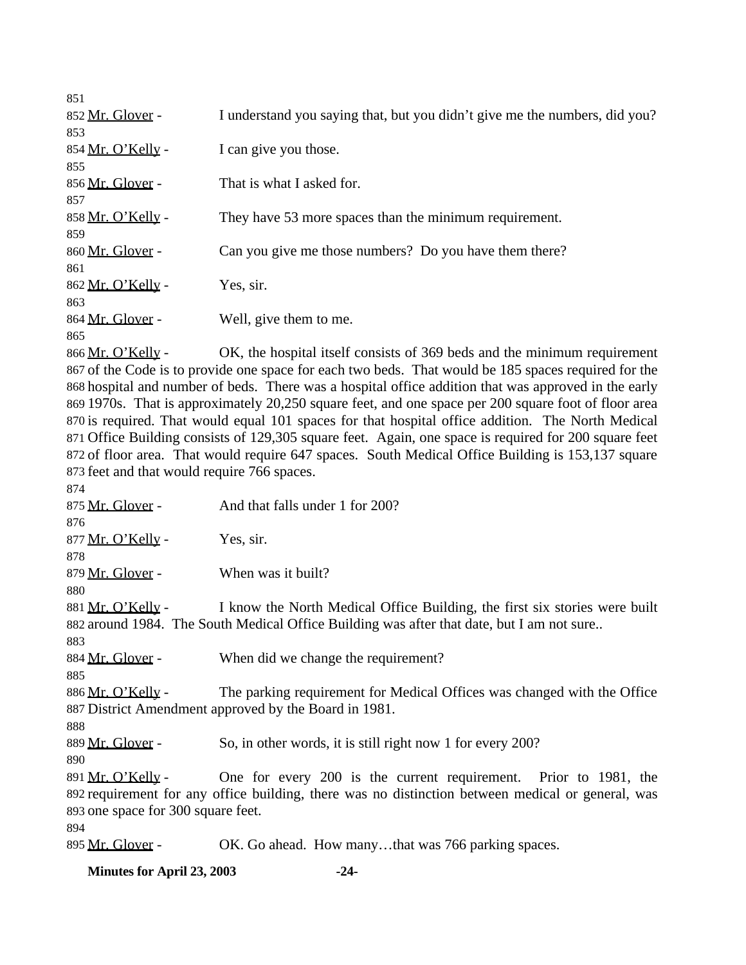| 851               |                                                                            |
|-------------------|----------------------------------------------------------------------------|
| 852 Mr. Glover -  | I understand you saying that, but you didn't give me the numbers, did you? |
| 853               |                                                                            |
| 854 Mr. O'Kelly - | I can give you those.                                                      |
| 855               |                                                                            |
| 856 Mr. Glover -  | That is what I asked for.                                                  |
| 857               |                                                                            |
| 858 Mr. O'Kelly - | They have 53 more spaces than the minimum requirement.                     |
| 859               |                                                                            |
| 860 Mr. Glover -  | Can you give me those numbers? Do you have them there?                     |
| 861               |                                                                            |
| 862 Mr. O'Kelly - | Yes, sir.                                                                  |
| 863               |                                                                            |
| 864 Mr. Glover -  | Well, give them to me.                                                     |
| 865               |                                                                            |
| 866 Mr. O'Kelly - | OK, the hospital itself consists of 369 beds and the minimum requirement   |
|                   |                                                                            |

 of the Code is to provide one space for each two beds. That would be 185 spaces required for the hospital and number of beds. There was a hospital office addition that was approved in the early 1970s. That is approximately 20,250 square feet, and one space per 200 square foot of floor area is required. That would equal 101 spaces for that hospital office addition. The North Medical Office Building consists of 129,305 square feet. Again, one space is required for 200 square feet of floor area. That would require 647 spaces. South Medical Office Building is 153,137 square feet and that would require 766 spaces.

 875 Mr. Glover - And that falls under 1 for 200?  $877 \,\mathrm{Mr. O'Kelly}$  - Yes, sir. 879 Mr. Glover - When was it built? 881 Mr. O'Kelly - I know the North Medical Office Building, the first six stories were built around 1984. The South Medical Office Building was after that date, but I am not sure.. 884 Mr. Glover - When did we change the requirement? 886 Mr. O'Kelly - The parking requirement for Medical Offices was changed with the Office District Amendment approved by the Board in 1981. 889 Mr. Glover - So, in other words, it is still right now 1 for every 200? Mr. O'Kelly - One for every 200 is the current requirement. Prior to 1981, the requirement for any office building, there was no distinction between medical or general, was one space for 300 square feet. 895 Mr. Glover - OK. Go ahead. How many...that was 766 parking spaces.

**Minutes for April 23, 2003 -24-**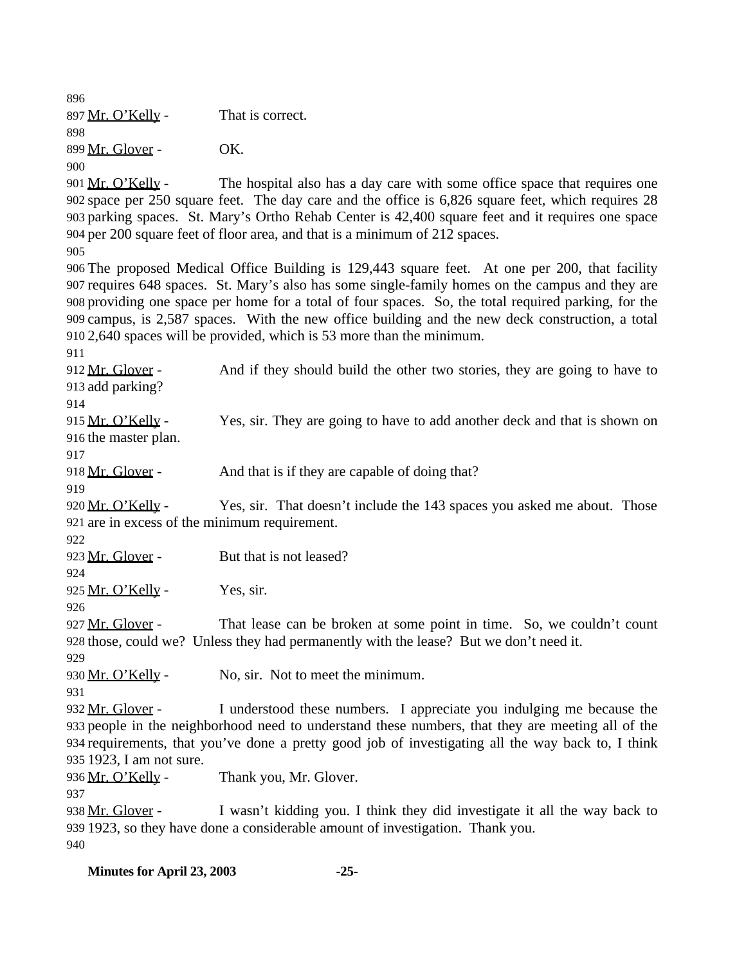897 Mr. O'Kelly - That is correct. Mr. Glover - OK. 

901 Mr. O'Kelly - The hospital also has a day care with some office space that requires one space per 250 square feet. The day care and the office is 6,826 square feet, which requires 28 parking spaces. St. Mary's Ortho Rehab Center is 42,400 square feet and it requires one space per 200 square feet of floor area, and that is a minimum of 212 spaces.

 The proposed Medical Office Building is 129,443 square feet. At one per 200, that facility requires 648 spaces. St. Mary's also has some single-family homes on the campus and they are providing one space per home for a total of four spaces. So, the total required parking, for the campus, is 2,587 spaces. With the new office building and the new deck construction, a total 2,640 spaces will be provided, which is 53 more than the minimum.

912 Mr. Glover - And if they should build the other two stories, they are going to have to add parking?

915 Mr. O'Kelly - Yes, sir. They are going to have to add another deck and that is shown on the master plan.

918 Mr. Glover - And that is if they are capable of doing that?

920 Mr. O'Kelly - Yes, sir. That doesn't include the 143 spaces you asked me about. Those are in excess of the minimum requirement.

 923 Mr. Glover - But that is not leased?

925 Mr. O'Kelly - Yes, sir.

927 Mr. Glover - That lease can be broken at some point in time. So, we couldn't count those, could we? Unless they had permanently with the lease? But we don't need it. 

930 Mr. O'Kelly - No, sir. Not to meet the minimum.

932 Mr. Glover - I understood these numbers. I appreciate you indulging me because the people in the neighborhood need to understand these numbers, that they are meeting all of the requirements, that you've done a pretty good job of investigating all the way back to, I think 1923, I am not sure.

936 Mr. O'Kelly - Thank you, Mr. Glover.

938 Mr. Glover - I wasn't kidding you. I think they did investigate it all the way back to 1923, so they have done a considerable amount of investigation. Thank you. 

**Minutes for April 23, 2003 -25-**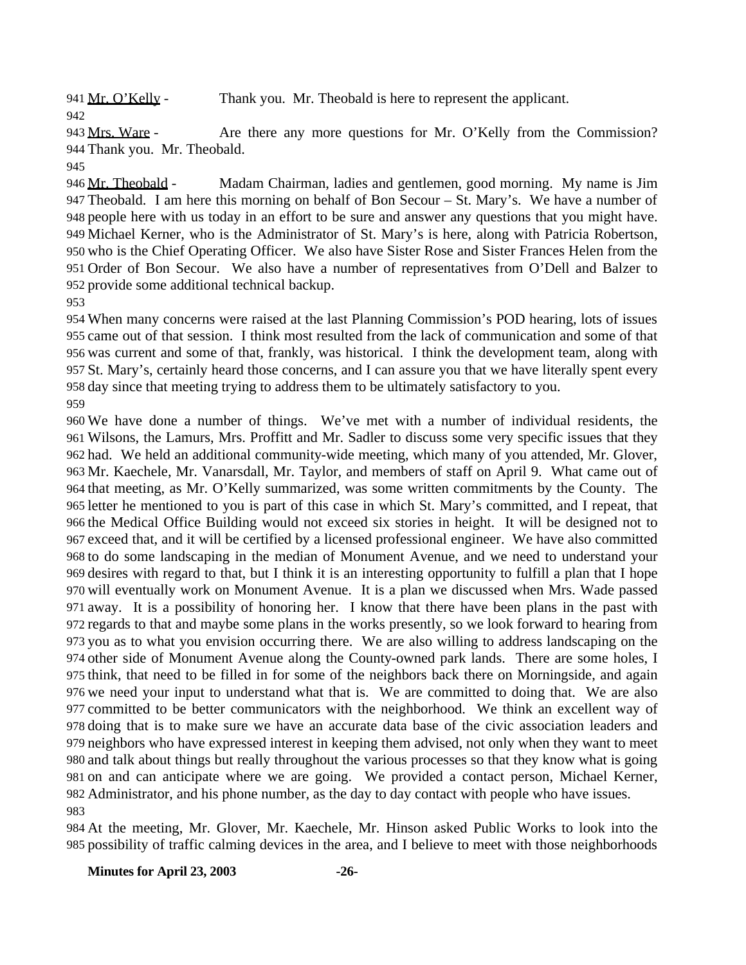941 Mr. O'Kelly - Thank you. Mr. Theobald is here to represent the applicant.

943 Mrs. Ware - Are there any more questions for Mr. O'Kelly from the Commission? Thank you. Mr. Theobald.

946 Mr. Theobald - Madam Chairman, ladies and gentlemen, good morning. My name is Jim Theobald. I am here this morning on behalf of Bon Secour – St. Mary's. We have a number of people here with us today in an effort to be sure and answer any questions that you might have. Michael Kerner, who is the Administrator of St. Mary's is here, along with Patricia Robertson, who is the Chief Operating Officer. We also have Sister Rose and Sister Frances Helen from the Order of Bon Secour. We also have a number of representatives from O'Dell and Balzer to provide some additional technical backup.

 When many concerns were raised at the last Planning Commission's POD hearing, lots of issues came out of that session. I think most resulted from the lack of communication and some of that was current and some of that, frankly, was historical. I think the development team, along with St. Mary's, certainly heard those concerns, and I can assure you that we have literally spent every day since that meeting trying to address them to be ultimately satisfactory to you. 

 We have done a number of things. We've met with a number of individual residents, the Wilsons, the Lamurs, Mrs. Proffitt and Mr. Sadler to discuss some very specific issues that they had. We held an additional community-wide meeting, which many of you attended, Mr. Glover, Mr. Kaechele, Mr. Vanarsdall, Mr. Taylor, and members of staff on April 9. What came out of that meeting, as Mr. O'Kelly summarized, was some written commitments by the County. The letter he mentioned to you is part of this case in which St. Mary's committed, and I repeat, that the Medical Office Building would not exceed six stories in height. It will be designed not to exceed that, and it will be certified by a licensed professional engineer. We have also committed to do some landscaping in the median of Monument Avenue, and we need to understand your desires with regard to that, but I think it is an interesting opportunity to fulfill a plan that I hope will eventually work on Monument Avenue. It is a plan we discussed when Mrs. Wade passed away. It is a possibility of honoring her. I know that there have been plans in the past with regards to that and maybe some plans in the works presently, so we look forward to hearing from you as to what you envision occurring there. We are also willing to address landscaping on the other side of Monument Avenue along the County-owned park lands. There are some holes, I think, that need to be filled in for some of the neighbors back there on Morningside, and again we need your input to understand what that is. We are committed to doing that. We are also committed to be better communicators with the neighborhood. We think an excellent way of doing that is to make sure we have an accurate data base of the civic association leaders and neighbors who have expressed interest in keeping them advised, not only when they want to meet and talk about things but really throughout the various processes so that they know what is going on and can anticipate where we are going. We provided a contact person, Michael Kerner, Administrator, and his phone number, as the day to day contact with people who have issues. 

 At the meeting, Mr. Glover, Mr. Kaechele, Mr. Hinson asked Public Works to look into the possibility of traffic calming devices in the area, and I believe to meet with those neighborhoods

**Minutes for April 23, 2003 -26-**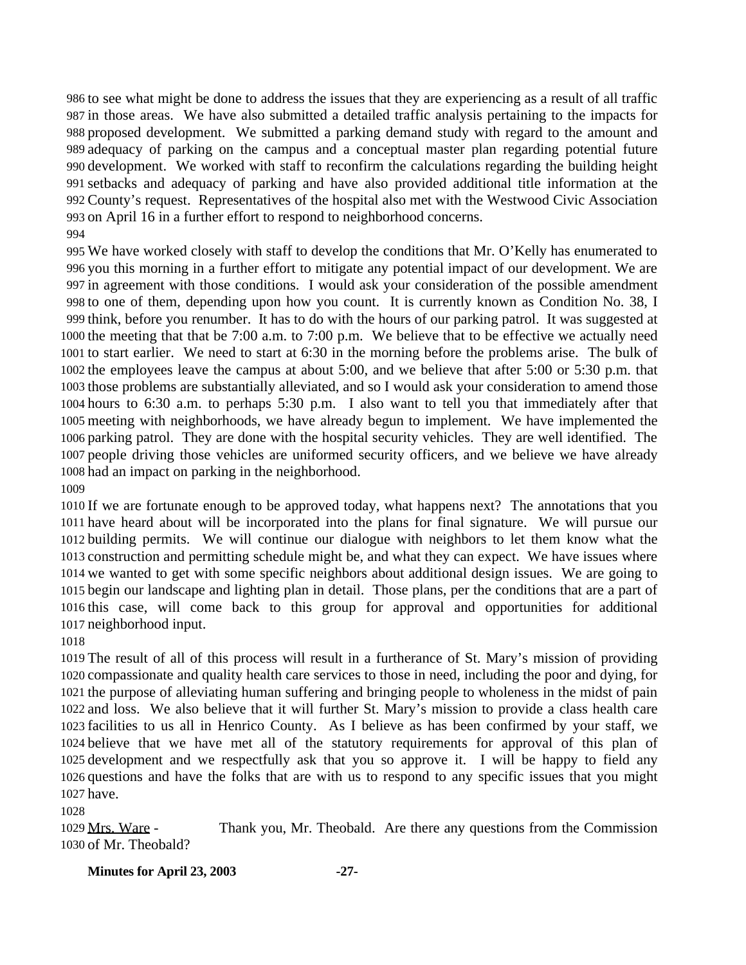to see what might be done to address the issues that they are experiencing as a result of all traffic in those areas. We have also submitted a detailed traffic analysis pertaining to the impacts for proposed development. We submitted a parking demand study with regard to the amount and adequacy of parking on the campus and a conceptual master plan regarding potential future development. We worked with staff to reconfirm the calculations regarding the building height setbacks and adequacy of parking and have also provided additional title information at the County's request. Representatives of the hospital also met with the Westwood Civic Association on April 16 in a further effort to respond to neighborhood concerns. 

 We have worked closely with staff to develop the conditions that Mr. O'Kelly has enumerated to you this morning in a further effort to mitigate any potential impact of our development. We are in agreement with those conditions. I would ask your consideration of the possible amendment to one of them, depending upon how you count. It is currently known as Condition No. 38, I think, before you renumber. It has to do with the hours of our parking patrol. It was suggested at the meeting that that be 7:00 a.m. to 7:00 p.m. We believe that to be effective we actually need to start earlier. We need to start at 6:30 in the morning before the problems arise. The bulk of the employees leave the campus at about 5:00, and we believe that after 5:00 or 5:30 p.m. that those problems are substantially alleviated, and so I would ask your consideration to amend those hours to 6:30 a.m. to perhaps 5:30 p.m. I also want to tell you that immediately after that meeting with neighborhoods, we have already begun to implement. We have implemented the parking patrol. They are done with the hospital security vehicles. They are well identified. The people driving those vehicles are uniformed security officers, and we believe we have already had an impact on parking in the neighborhood.

 If we are fortunate enough to be approved today, what happens next? The annotations that you have heard about will be incorporated into the plans for final signature. We will pursue our building permits. We will continue our dialogue with neighbors to let them know what the construction and permitting schedule might be, and what they can expect. We have issues where we wanted to get with some specific neighbors about additional design issues. We are going to begin our landscape and lighting plan in detail. Those plans, per the conditions that are a part of this case, will come back to this group for approval and opportunities for additional neighborhood input.

 The result of all of this process will result in a furtherance of St. Mary's mission of providing compassionate and quality health care services to those in need, including the poor and dying, for the purpose of alleviating human suffering and bringing people to wholeness in the midst of pain and loss. We also believe that it will further St. Mary's mission to provide a class health care facilities to us all in Henrico County. As I believe as has been confirmed by your staff, we believe that we have met all of the statutory requirements for approval of this plan of development and we respectfully ask that you so approve it. I will be happy to field any questions and have the folks that are with us to respond to any specific issues that you might have.

 Mrs. Ware - Thank you, Mr. Theobald. Are there any questions from the Commission of Mr. Theobald?

#### **Minutes for April 23, 2003 -27-**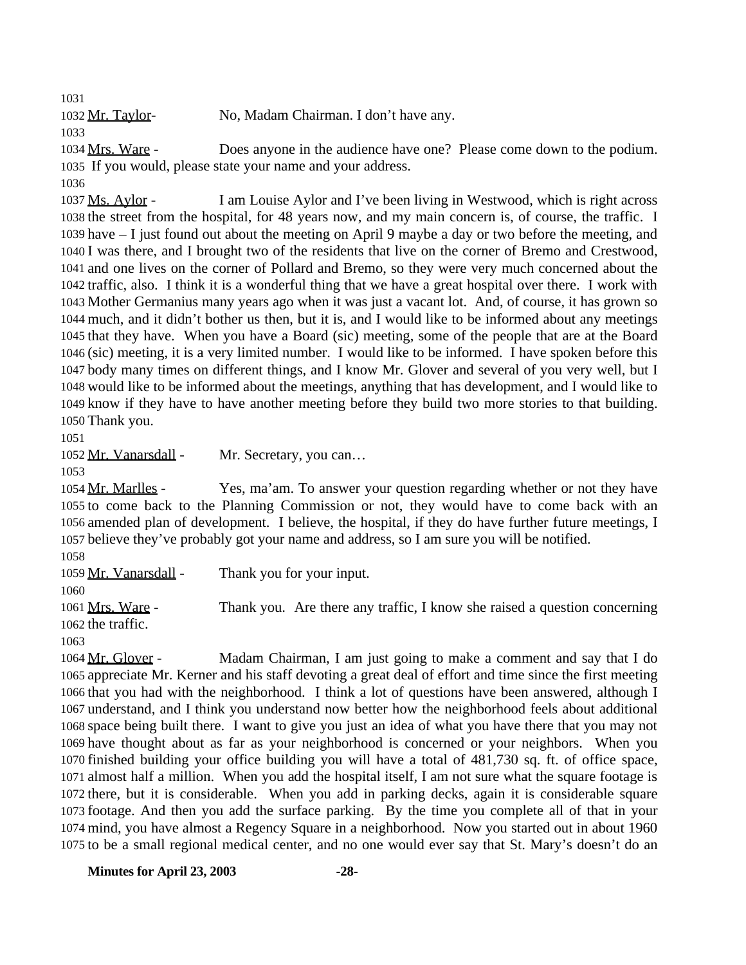1032 Mr. Taylor- No, Madam Chairman. I don't have any.

 Mrs. Ware - Does anyone in the audience have one? Please come down to the podium. If you would, please state your name and your address.

 Ms. Aylor - I am Louise Aylor and I've been living in Westwood, which is right across the street from the hospital, for 48 years now, and my main concern is, of course, the traffic. I have – I just found out about the meeting on April 9 maybe a day or two before the meeting, and I was there, and I brought two of the residents that live on the corner of Bremo and Crestwood, and one lives on the corner of Pollard and Bremo, so they were very much concerned about the traffic, also. I think it is a wonderful thing that we have a great hospital over there. I work with Mother Germanius many years ago when it was just a vacant lot. And, of course, it has grown so much, and it didn't bother us then, but it is, and I would like to be informed about any meetings that they have. When you have a Board (sic) meeting, some of the people that are at the Board (sic) meeting, it is a very limited number. I would like to be informed. I have spoken before this body many times on different things, and I know Mr. Glover and several of you very well, but I would like to be informed about the meetings, anything that has development, and I would like to know if they have to have another meeting before they build two more stories to that building. Thank you.

1052 Mr. Vanarsdall - Mr. Secretary, you can...

1054 Mr. Marlles - Yes, ma'am. To answer your question regarding whether or not they have to come back to the Planning Commission or not, they would have to come back with an amended plan of development. I believe, the hospital, if they do have further future meetings, I believe they've probably got your name and address, so I am sure you will be notified.

1059 Mr. Vanarsdall - Thank you for your input. Mrs. Ware - Thank you. Are there any traffic, I know she raised a question concerning the traffic. 

 Mr. Glover - Madam Chairman, I am just going to make a comment and say that I do appreciate Mr. Kerner and his staff devoting a great deal of effort and time since the first meeting that you had with the neighborhood. I think a lot of questions have been answered, although I understand, and I think you understand now better how the neighborhood feels about additional space being built there. I want to give you just an idea of what you have there that you may not have thought about as far as your neighborhood is concerned or your neighbors. When you finished building your office building you will have a total of 481,730 sq. ft. of office space, almost half a million. When you add the hospital itself, I am not sure what the square footage is there, but it is considerable. When you add in parking decks, again it is considerable square footage. And then you add the surface parking. By the time you complete all of that in your mind, you have almost a Regency Square in a neighborhood. Now you started out in about 1960 to be a small regional medical center, and no one would ever say that St. Mary's doesn't do an

**Minutes for April 23, 2003 -28-**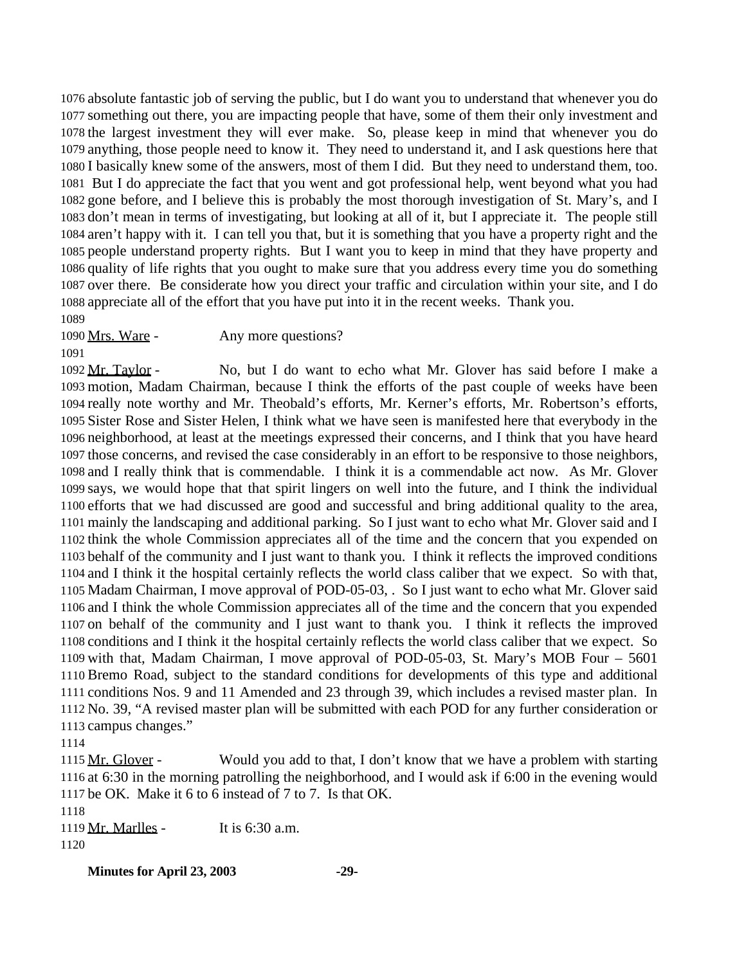absolute fantastic job of serving the public, but I do want you to understand that whenever you do something out there, you are impacting people that have, some of them their only investment and the largest investment they will ever make. So, please keep in mind that whenever you do anything, those people need to know it. They need to understand it, and I ask questions here that I basically knew some of the answers, most of them I did. But they need to understand them, too. But I do appreciate the fact that you went and got professional help, went beyond what you had gone before, and I believe this is probably the most thorough investigation of St. Mary's, and I don't mean in terms of investigating, but looking at all of it, but I appreciate it. The people still aren't happy with it. I can tell you that, but it is something that you have a property right and the people understand property rights. But I want you to keep in mind that they have property and quality of life rights that you ought to make sure that you address every time you do something over there. Be considerate how you direct your traffic and circulation within your site, and I do appreciate all of the effort that you have put into it in the recent weeks. Thank you.

1090 Mrs. Ware - Any more questions?

 Mr. Taylor - No, but I do want to echo what Mr. Glover has said before I make a motion, Madam Chairman, because I think the efforts of the past couple of weeks have been really note worthy and Mr. Theobald's efforts, Mr. Kerner's efforts, Mr. Robertson's efforts, Sister Rose and Sister Helen, I think what we have seen is manifested here that everybody in the neighborhood, at least at the meetings expressed their concerns, and I think that you have heard those concerns, and revised the case considerably in an effort to be responsive to those neighbors, and I really think that is commendable. I think it is a commendable act now. As Mr. Glover says, we would hope that that spirit lingers on well into the future, and I think the individual efforts that we had discussed are good and successful and bring additional quality to the area, mainly the landscaping and additional parking. So I just want to echo what Mr. Glover said and I think the whole Commission appreciates all of the time and the concern that you expended on behalf of the community and I just want to thank you. I think it reflects the improved conditions and I think it the hospital certainly reflects the world class caliber that we expect. So with that, Madam Chairman, I move approval of POD-05-03, . So I just want to echo what Mr. Glover said and I think the whole Commission appreciates all of the time and the concern that you expended on behalf of the community and I just want to thank you. I think it reflects the improved conditions and I think it the hospital certainly reflects the world class caliber that we expect. So with that, Madam Chairman, I move approval of POD-05-03, St. Mary's MOB Four – 5601 Bremo Road, subject to the standard conditions for developments of this type and additional conditions Nos. 9 and 11 Amended and 23 through 39, which includes a revised master plan. In No. 39, "A revised master plan will be submitted with each POD for any further consideration or campus changes."

1115 Mr. Glover - Would you add to that, I don't know that we have a problem with starting at 6:30 in the morning patrolling the neighborhood, and I would ask if 6:00 in the evening would be OK. Make it 6 to 6 instead of 7 to 7. Is that OK.

1119 Mr. Marlles - It is 6:30 a.m. 

**Minutes for April 23, 2003 -29-**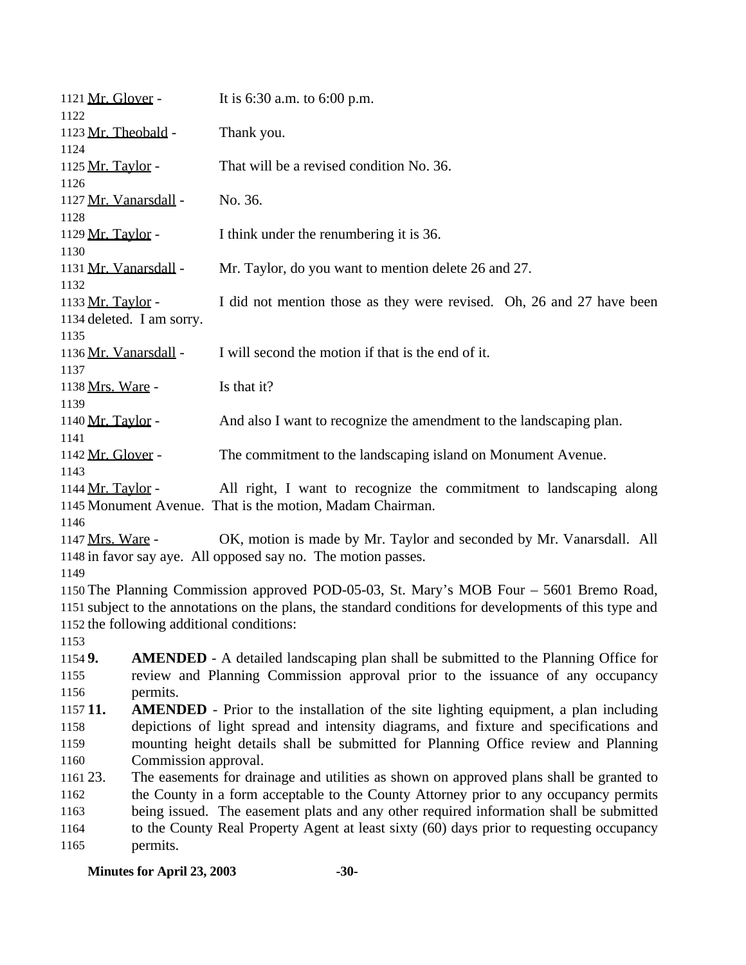| 1121 Mr. Glover -<br>1122         |                                                                                        | It is $6:30$ a.m. to $6:00$ p.m.                                                                                                                                                                   |
|-----------------------------------|----------------------------------------------------------------------------------------|----------------------------------------------------------------------------------------------------------------------------------------------------------------------------------------------------|
| 1123 Mr. Theobald -<br>1124       |                                                                                        | Thank you.                                                                                                                                                                                         |
| 1125 Mr. Taylor -<br>1126         |                                                                                        | That will be a revised condition No. 36.                                                                                                                                                           |
| 1127 Mr. Vanarsdall -             |                                                                                        | No. 36.                                                                                                                                                                                            |
| 1128<br>1129 Mr. Taylor -         |                                                                                        | I think under the renumbering it is 36.                                                                                                                                                            |
| 1130<br>1131 Mr. Vanarsdall -     |                                                                                        | Mr. Taylor, do you want to mention delete 26 and 27.                                                                                                                                               |
| 1132<br>1133 Mr. Taylor -         |                                                                                        | I did not mention those as they were revised. Oh, 26 and 27 have been                                                                                                                              |
| 1134 deleted. I am sorry.<br>1135 |                                                                                        |                                                                                                                                                                                                    |
| 1136 Mr. Vanarsdall -<br>1137     |                                                                                        | I will second the motion if that is the end of it.                                                                                                                                                 |
| 1138 Mrs. Ware -<br>1139          |                                                                                        | Is that it?                                                                                                                                                                                        |
| 1140 Mr. Taylor -<br>1141         |                                                                                        | And also I want to recognize the amendment to the landscaping plan.                                                                                                                                |
| 1142 Mr. Glover -<br>1143         |                                                                                        | The commitment to the landscaping island on Monument Avenue.                                                                                                                                       |
| 1144 Mr. Taylor -                 |                                                                                        | All right, I want to recognize the commitment to landscaping along<br>1145 Monument Avenue. That is the motion, Madam Chairman.                                                                    |
| 1146<br>1147 Mrs. Ware -<br>1149  |                                                                                        | OK, motion is made by Mr. Taylor and seconded by Mr. Vanarsdall. All<br>1148 in favor say aye. All opposed say no. The motion passes.                                                              |
|                                   | 1152 the following additional conditions:                                              | 1150 The Planning Commission approved POD-05-03, St. Mary's MOB Four – 5601 Bremo Road,<br>1151 subject to the annotations on the plans, the standard conditions for developments of this type and |
| 1153                              |                                                                                        |                                                                                                                                                                                                    |
| 1154 9.<br>1155                   |                                                                                        | <b>AMENDED</b> - A detailed landscaping plan shall be submitted to the Planning Office for<br>review and Planning Commission approval prior to the issuance of any occupancy                       |
| 1156                              | permits.                                                                               |                                                                                                                                                                                                    |
| 115711.                           |                                                                                        | <b>AMENDED</b> - Prior to the installation of the site lighting equipment, a plan including                                                                                                        |
| 1158                              |                                                                                        | depictions of light spread and intensity diagrams, and fixture and specifications and                                                                                                              |
| 1159                              |                                                                                        | mounting height details shall be submitted for Planning Office review and Planning                                                                                                                 |
| 1160                              | Commission approval.                                                                   |                                                                                                                                                                                                    |
| 1161 23.                          |                                                                                        | The easements for drainage and utilities as shown on approved plans shall be granted to                                                                                                            |
| 1162                              | the County in a form acceptable to the County Attorney prior to any occupancy permits  |                                                                                                                                                                                                    |
| 1163                              | being issued. The easement plats and any other required information shall be submitted |                                                                                                                                                                                                    |
| 1164                              |                                                                                        | to the County Real Property Agent at least sixty (60) days prior to requesting occupancy                                                                                                           |
| 1165                              | permits.                                                                               |                                                                                                                                                                                                    |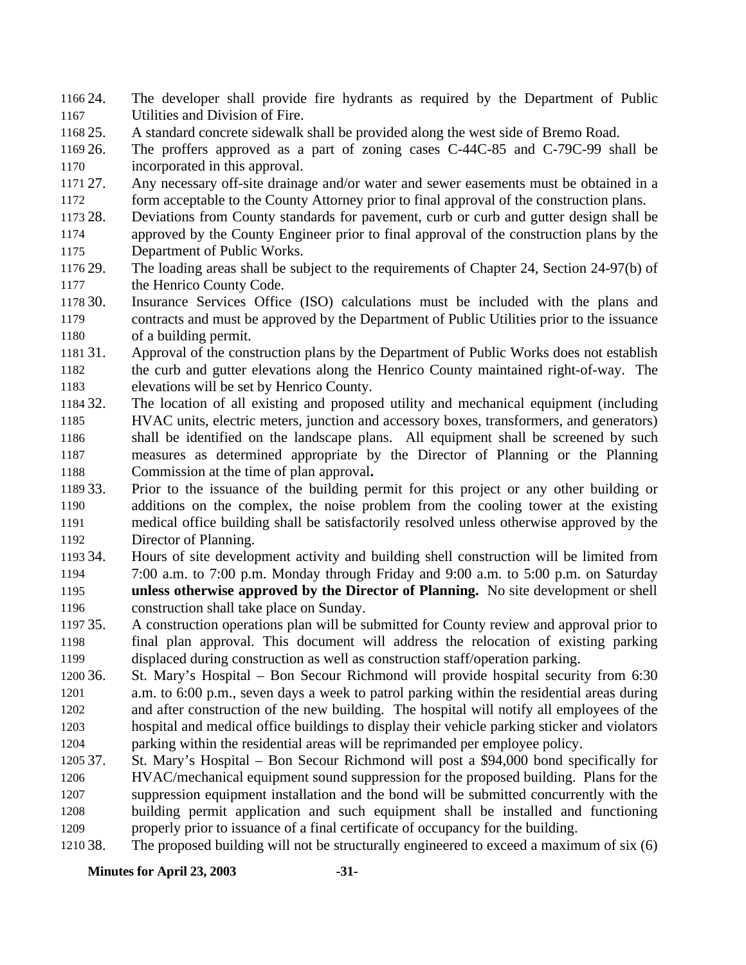- 24. The developer shall provide fire hydrants as required by the Department of Public Utilities and Division of Fire.
- 25. A standard concrete sidewalk shall be provided along the west side of Bremo Road.

 26. The proffers approved as a part of zoning cases C-44C-85 and C-79C-99 shall be incorporated in this approval.

- 27. Any necessary off-site drainage and/or water and sewer easements must be obtained in a form acceptable to the County Attorney prior to final approval of the construction plans.
- 28. Deviations from County standards for pavement, curb or curb and gutter design shall be approved by the County Engineer prior to final approval of the construction plans by the Department of Public Works.
- 29. The loading areas shall be subject to the requirements of Chapter 24, Section 24-97(b) of 1177 the Henrico County Code.
- 30. Insurance Services Office (ISO) calculations must be included with the plans and contracts and must be approved by the Department of Public Utilities prior to the issuance of a building permit.
- 31. Approval of the construction plans by the Department of Public Works does not establish the curb and gutter elevations along the Henrico County maintained right-of-way. The elevations will be set by Henrico County.
- 32. The location of all existing and proposed utility and mechanical equipment (including HVAC units, electric meters, junction and accessory boxes, transformers, and generators) shall be identified on the landscape plans. All equipment shall be screened by such measures as determined appropriate by the Director of Planning or the Planning Commission at the time of plan approval**.**
- 33. Prior to the issuance of the building permit for this project or any other building or additions on the complex, the noise problem from the cooling tower at the existing medical office building shall be satisfactorily resolved unless otherwise approved by the Director of Planning.
- 34. Hours of site development activity and building shell construction will be limited from 7:00 a.m. to 7:00 p.m. Monday through Friday and 9:00 a.m. to 5:00 p.m. on Saturday **unless otherwise approved by the Director of Planning.** No site development or shell construction shall take place on Sunday.
- 35. A construction operations plan will be submitted for County review and approval prior to final plan approval. This document will address the relocation of existing parking displaced during construction as well as construction staff/operation parking.
- 36. St. Mary's Hospital Bon Secour Richmond will provide hospital security from 6:30 a.m. to 6:00 p.m., seven days a week to patrol parking within the residential areas during and after construction of the new building. The hospital will notify all employees of the hospital and medical office buildings to display their vehicle parking sticker and violators parking within the residential areas will be reprimanded per employee policy.
- 37. St. Mary's Hospital Bon Secour Richmond will post a \$94,000 bond specifically for HVAC/mechanical equipment sound suppression for the proposed building. Plans for the suppression equipment installation and the bond will be submitted concurrently with the building permit application and such equipment shall be installed and functioning properly prior to issuance of a final certificate of occupancy for the building.
- 38. The proposed building will not be structurally engineered to exceed a maximum of six (6)

**Minutes for April 23, 2003 -31-**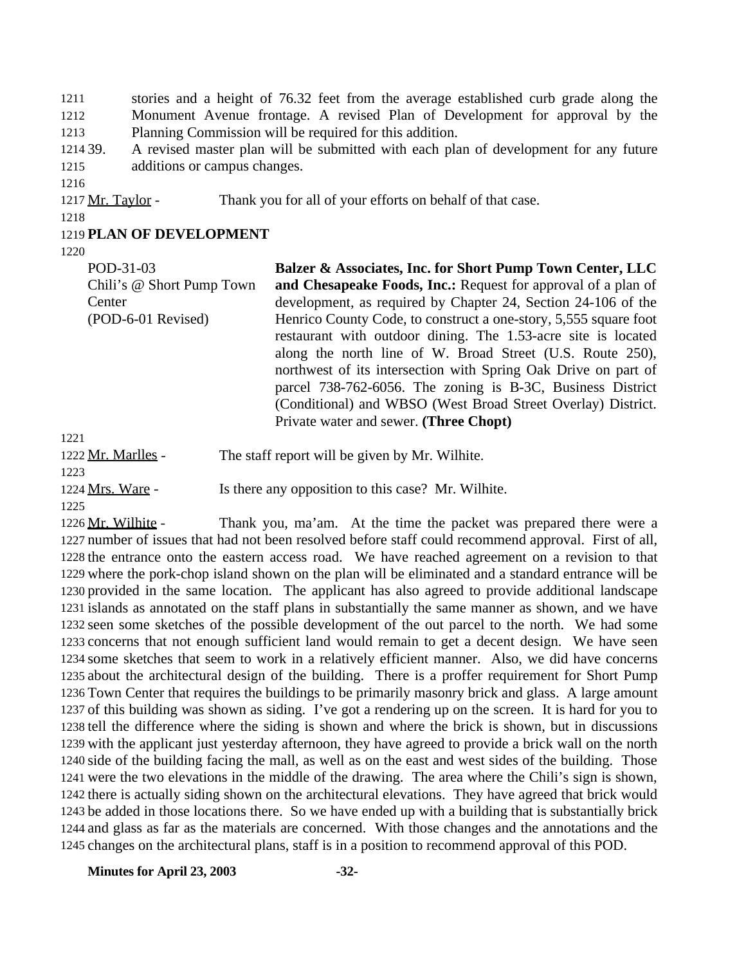stories and a height of 76.32 feet from the average established curb grade along the Monument Avenue frontage. A revised Plan of Development for approval by the Planning Commission will be required for this addition.

 39. A revised master plan will be submitted with each plan of development for any future additions or campus changes.

1217 Mr. Taylor - Thank you for all of your efforts on behalf of that case.

### **PLAN OF DEVELOPMENT**

POD-31-03 Chili's @ Short Pump Town **Center** (POD-6-01 Revised) **Balzer & Associates, Inc. for Short Pump Town Center, LLC and Chesapeake Foods, Inc.:** Request for approval of a plan of development, as required by Chapter 24, Section 24-106 of the Henrico County Code, to construct a one-story, 5,555 square foot restaurant with outdoor dining. The 1.53-acre site is located along the north line of W. Broad Street (U.S. Route 250), northwest of its intersection with Spring Oak Drive on part of parcel 738-762-6056. The zoning is B-3C, Business District (Conditional) and WBSO (West Broad Street Overlay) District. Private water and sewer. **(Three Chopt)** 

| 1222 Mr. Marlles - | The staff report will be given by Mr. Wilhite.     |
|--------------------|----------------------------------------------------|
| 1223               |                                                    |
| 1224 Mrs. Ware -   | Is there any opposition to this case? Mr. Wilhite. |
| 1225               |                                                    |

 Mr. Wilhite - Thank you, ma'am. At the time the packet was prepared there were a number of issues that had not been resolved before staff could recommend approval. First of all, the entrance onto the eastern access road. We have reached agreement on a revision to that where the pork-chop island shown on the plan will be eliminated and a standard entrance will be provided in the same location. The applicant has also agreed to provide additional landscape islands as annotated on the staff plans in substantially the same manner as shown, and we have seen some sketches of the possible development of the out parcel to the north. We had some concerns that not enough sufficient land would remain to get a decent design. We have seen some sketches that seem to work in a relatively efficient manner. Also, we did have concerns about the architectural design of the building. There is a proffer requirement for Short Pump Town Center that requires the buildings to be primarily masonry brick and glass. A large amount of this building was shown as siding. I've got a rendering up on the screen. It is hard for you to tell the difference where the siding is shown and where the brick is shown, but in discussions with the applicant just yesterday afternoon, they have agreed to provide a brick wall on the north side of the building facing the mall, as well as on the east and west sides of the building. Those were the two elevations in the middle of the drawing. The area where the Chili's sign is shown, there is actually siding shown on the architectural elevations. They have agreed that brick would be added in those locations there. So we have ended up with a building that is substantially brick and glass as far as the materials are concerned. With those changes and the annotations and the changes on the architectural plans, staff is in a position to recommend approval of this POD.

**Minutes for April 23, 2003 -32-**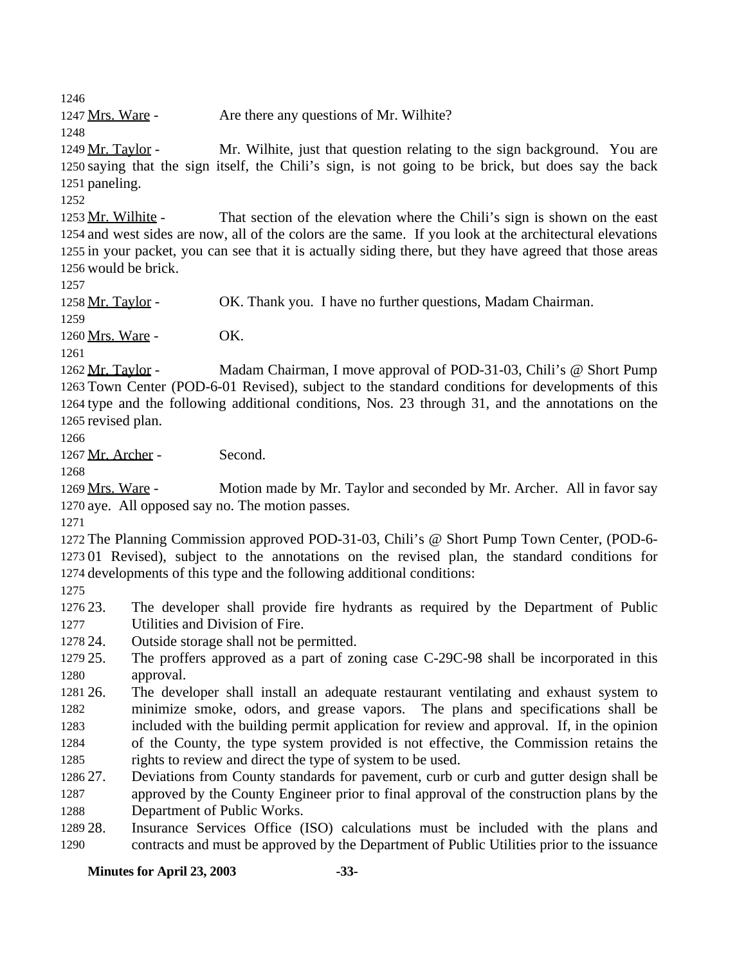1247 Mrs. Ware - Are there any questions of Mr. Wilhite?

1249 Mr. Taylor - Mr. Wilhite, just that question relating to the sign background. You are saying that the sign itself, the Chili's sign, is not going to be brick, but does say the back paneling.

 Mr. Wilhite - That section of the elevation where the Chili's sign is shown on the east and west sides are now, all of the colors are the same. If you look at the architectural elevations in your packet, you can see that it is actually siding there, but they have agreed that those areas would be brick.

1258 Mr. Taylor - OK. Thank you. I have no further questions, Madam Chairman.

 1260 Mrs. Ware - **OK.** 

 Mr. Taylor - Madam Chairman, I move approval of POD-31-03, Chili's @ Short Pump Town Center (POD-6-01 Revised), subject to the standard conditions for developments of this type and the following additional conditions, Nos. 23 through 31, and the annotations on the revised plan.

1267 Mr. Archer - Second.

1269 Mrs. Ware - Motion made by Mr. Taylor and seconded by Mr. Archer. All in favor say aye. All opposed say no. The motion passes.

 The Planning Commission approved POD-31-03, Chili's @ Short Pump Town Center, (POD-6- 01 Revised), subject to the annotations on the revised plan, the standard conditions for developments of this type and the following additional conditions:

 23. The developer shall provide fire hydrants as required by the Department of Public Utilities and Division of Fire.

24. Outside storage shall not be permitted.

 25. The proffers approved as a part of zoning case C-29C-98 shall be incorporated in this approval.

 26. The developer shall install an adequate restaurant ventilating and exhaust system to minimize smoke, odors, and grease vapors. The plans and specifications shall be included with the building permit application for review and approval. If, in the opinion of the County, the type system provided is not effective, the Commission retains the

rights to review and direct the type of system to be used.

 27. Deviations from County standards for pavement, curb or curb and gutter design shall be approved by the County Engineer prior to final approval of the construction plans by the Department of Public Works.

 28. Insurance Services Office (ISO) calculations must be included with the plans and contracts and must be approved by the Department of Public Utilities prior to the issuance

**Minutes for April 23, 2003 -33-**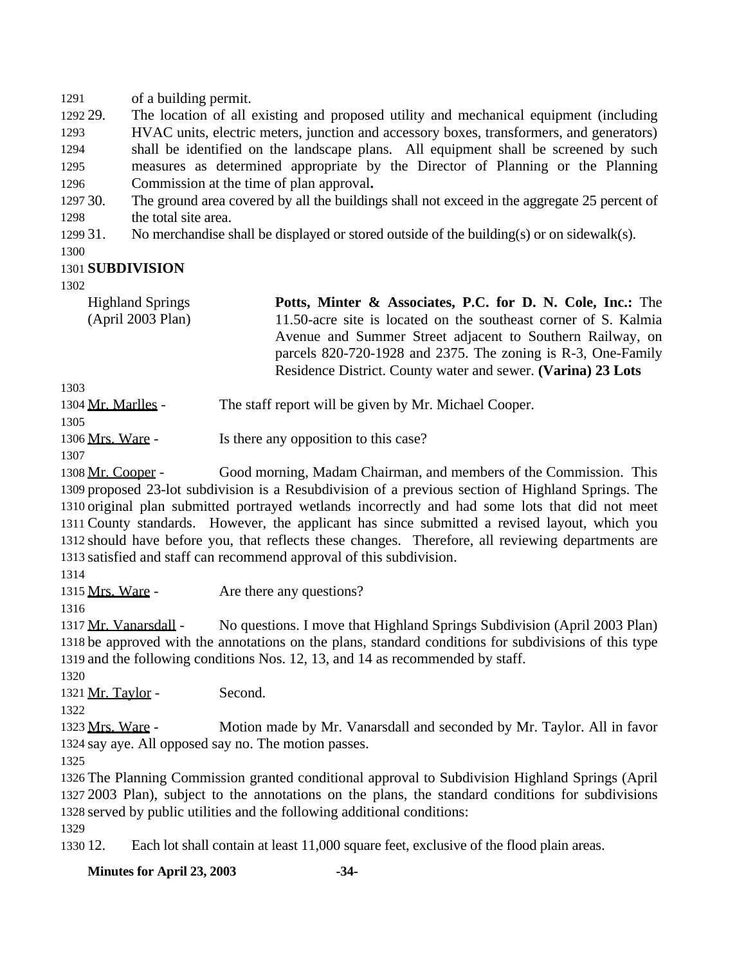of a building permit.

 29. The location of all existing and proposed utility and mechanical equipment (including HVAC units, electric meters, junction and accessory boxes, transformers, and generators) shall be identified on the landscape plans. All equipment shall be screened by such measures as determined appropriate by the Director of Planning or the Planning Commission at the time of plan approval**.**

 30. The ground area covered by all the buildings shall not exceed in the aggregate 25 percent of the total site area.

31. No merchandise shall be displayed or stored outside of the building(s) or on sidewalk(s).

### **SUBDIVISION**

Highland Springs (April 2003 Plan) **Potts, Minter & Associates, P.C. for D. N. Cole, Inc.:** The 11.50-acre site is located on the southeast corner of S. Kalmia Avenue and Summer Street adjacent to Southern Railway, on parcels 820-720-1928 and 2375. The zoning is R-3, One-Family Residence District. County water and sewer. **(Varina) 23 Lots**

Mr. Marlles - The staff report will be given by Mr. Michael Cooper.

1306 Mrs. Ware - Is there any opposition to this case?

 Mr. Cooper - Good morning, Madam Chairman, and members of the Commission. This proposed 23-lot subdivision is a Resubdivision of a previous section of Highland Springs. The original plan submitted portrayed wetlands incorrectly and had some lots that did not meet County standards. However, the applicant has since submitted a revised layout, which you should have before you, that reflects these changes. Therefore, all reviewing departments are satisfied and staff can recommend approval of this subdivision.

1315 Mrs. Ware - Are there any questions?

 Mr. Vanarsdall - No questions. I move that Highland Springs Subdivision (April 2003 Plan) be approved with the annotations on the plans, standard conditions for subdivisions of this type and the following conditions Nos. 12, 13, and 14 as recommended by staff. 

1321 Mr. Taylor - Second.

```
1322
```
 Mrs. Ware - Motion made by Mr. Vanarsdall and seconded by Mr. Taylor. All in favor say aye. All opposed say no. The motion passes.

 The Planning Commission granted conditional approval to Subdivision Highland Springs (April 2003 Plan), subject to the annotations on the plans, the standard conditions for subdivisions served by public utilities and the following additional conditions:

12. Each lot shall contain at least 11,000 square feet, exclusive of the flood plain areas.

**Minutes for April 23, 2003 -34-**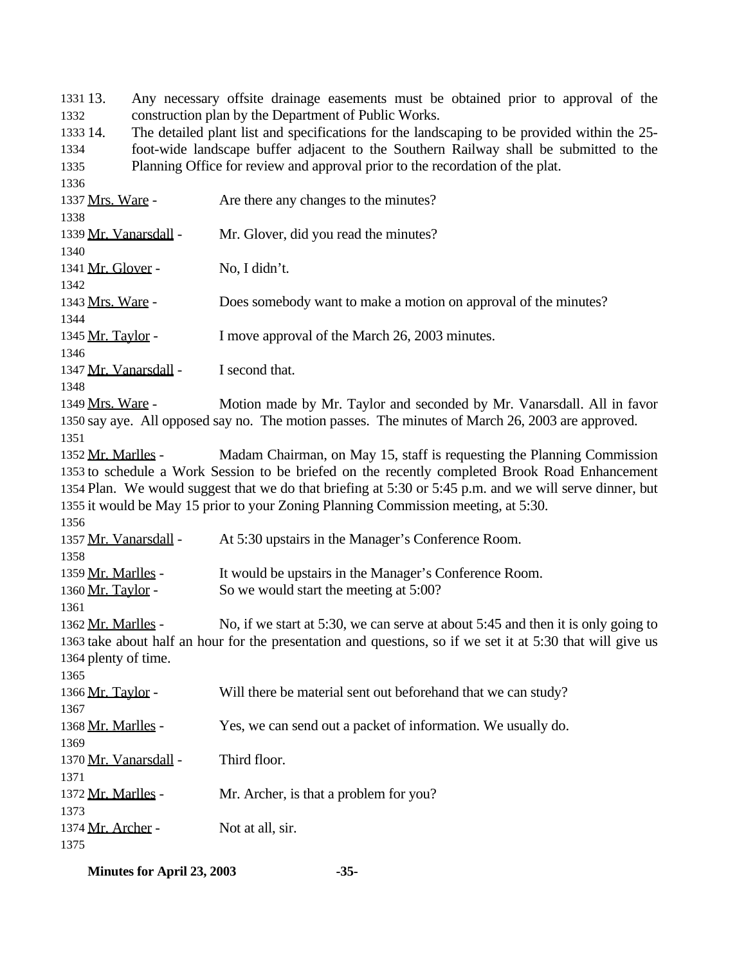13. Any necessary offsite drainage easements must be obtained prior to approval of the construction plan by the Department of Public Works.

 14. The detailed plant list and specifications for the landscaping to be provided within the 25- foot-wide landscape buffer adjacent to the Southern Railway shall be submitted to the Planning Office for review and approval prior to the recordation of the plat.

 1337 Mrs. Ware - Are there any changes to the minutes? Mr. Vanarsdall - Mr. Glover, did you read the minutes? 1341 Mr. Glover - No, I didn't. Mrs. Ware - Does somebody want to make a motion on approval of the minutes? 1345 Mr. Taylor - I move approval of the March 26, 2003 minutes. 1347 Mr. Vanarsdall - I second that. Mrs. Ware - Motion made by Mr. Taylor and seconded by Mr. Vanarsdall. All in favor say aye. All opposed say no. The motion passes. The minutes of March 26, 2003 are approved. 1352 Mr. Marlles - Madam Chairman, on May 15, staff is requesting the Planning Commission to schedule a Work Session to be briefed on the recently completed Brook Road Enhancement Plan. We would suggest that we do that briefing at 5:30 or 5:45 p.m. and we will serve dinner, but it would be May 15 prior to your Zoning Planning Commission meeting, at 5:30. Mr. Vanarsdall - At 5:30 upstairs in the Manager's Conference Room. 1359 Mr. Marlles - It would be upstairs in the Manager's Conference Room. 1360 Mr. Taylor - So we would start the meeting at 5:00? Mr. Marlles - No, if we start at 5:30, we can serve at about 5:45 and then it is only going to take about half an hour for the presentation and questions, so if we set it at 5:30 that will give us plenty of time. 1366 Mr. Taylor - Will there be material sent out beforehand that we can study? Mr. Marlles - Yes, we can send out a packet of information. We usually do. 1370 Mr. Vanarsdall - Third floor. Mr. Marlles - Mr. Archer, is that a problem for you? 1374 Mr. Archer - Not at all, sir. 

**Minutes for April 23, 2003 -35-**